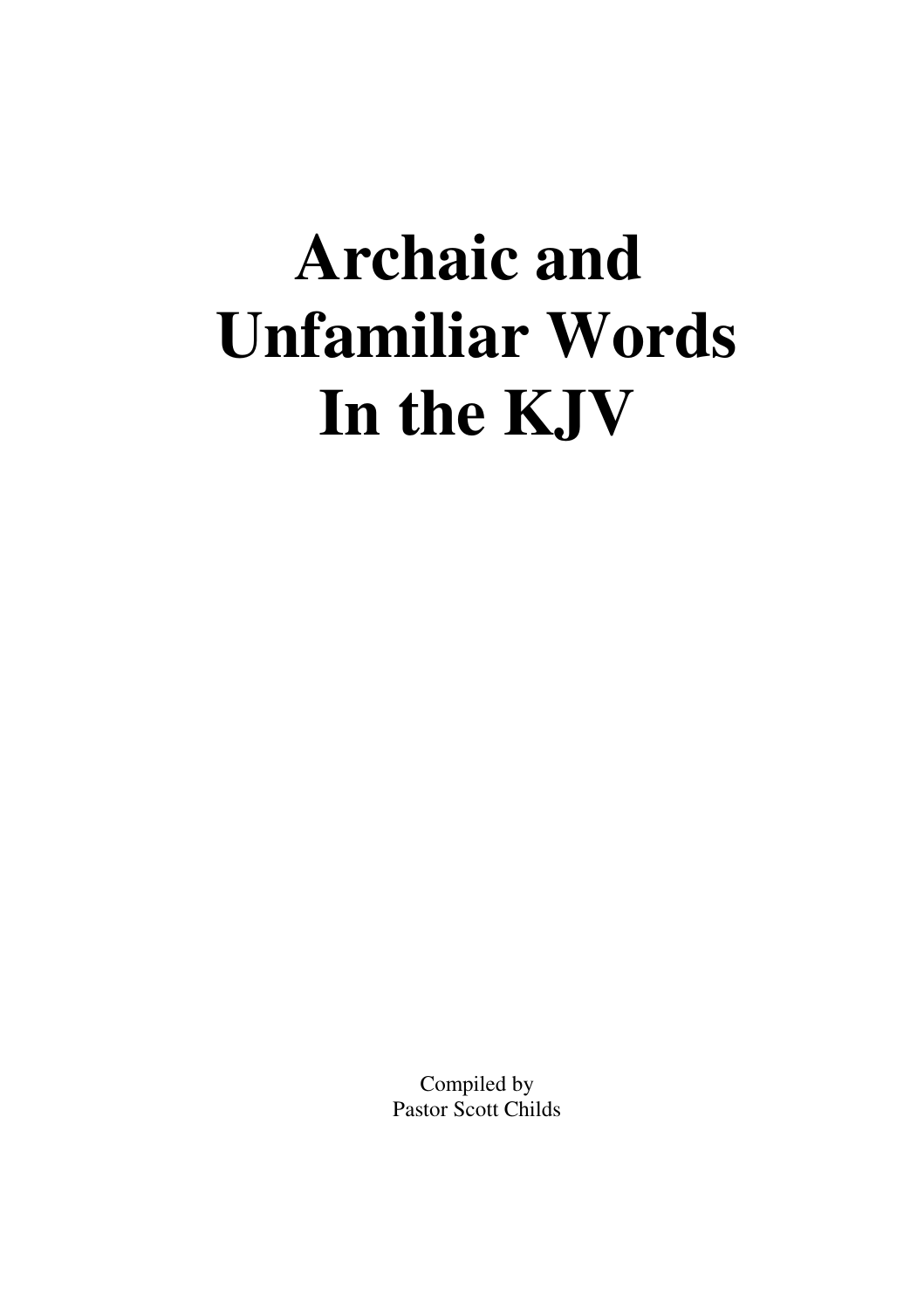## **Archaic and Unfamiliar Words In the KJV**

Compiled by Pastor Scott Childs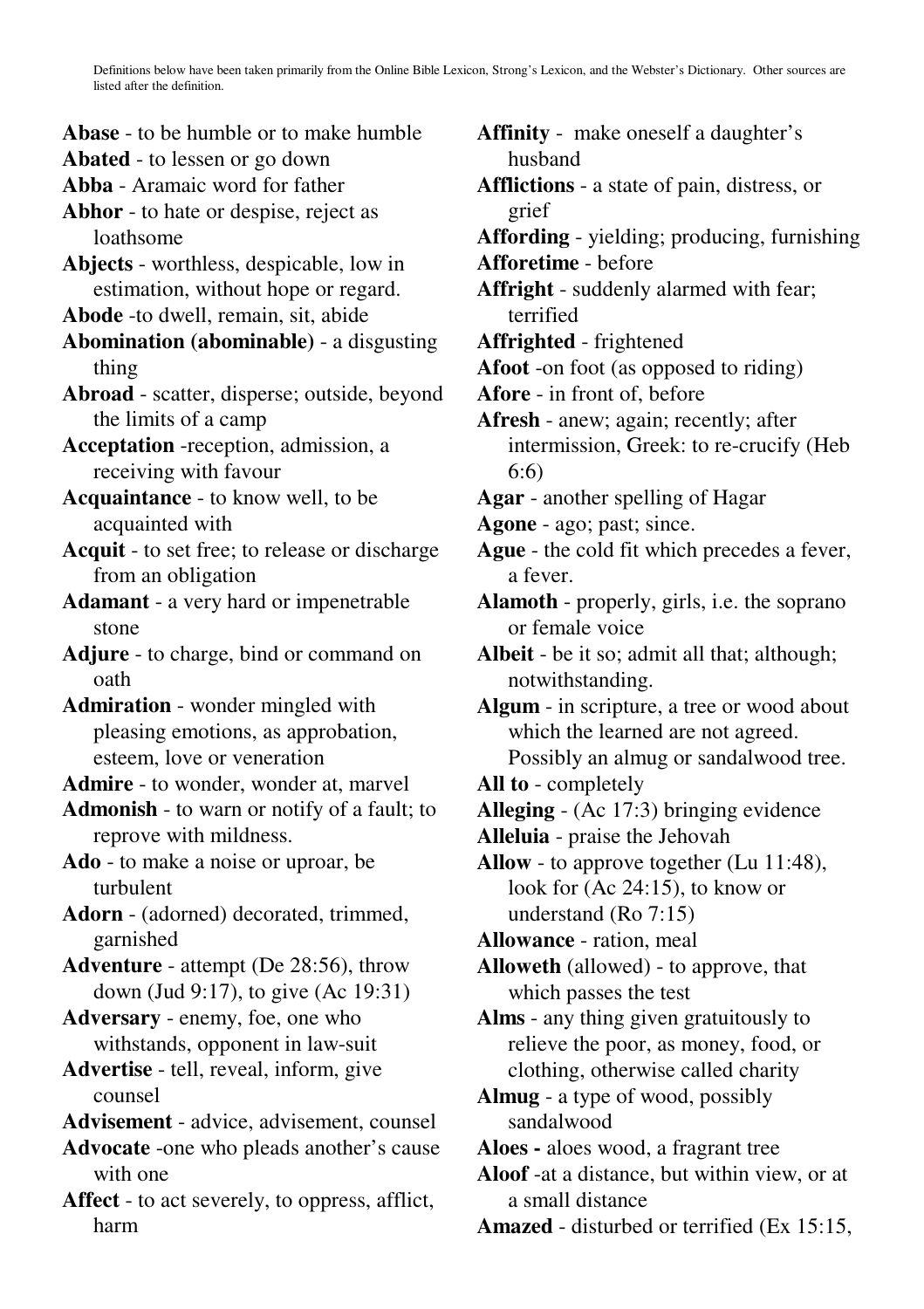Definitions below have been taken primarily from the Online Bible Lexicon, Strong's Lexicon, and the Webster's Dictionary. Other sources are listed after the definition.

- **Abase**  to be humble or to make humble
- **Abated**  to lessen or go down
- **Abba**  Aramaic word for father
- **Abhor**  to hate or despise, reject as loathsome
- **Abjects**  worthless, despicable, low in estimation, without hope or regard.
- **Abode** -to dwell, remain, sit, abide
- **Abomination (abominable)**  a disgusting thing
- **Abroad**  scatter, disperse; outside, beyond the limits of a camp
- **Acceptation** -reception, admission, a receiving with favour
- **Acquaintance** to know well, to be acquainted with
- **Acquit**  to set free; to release or discharge from an obligation
- **Adamant**  a very hard or impenetrable stone
- **Adjure**  to charge, bind or command on oath
- **Admiration**  wonder mingled with pleasing emotions, as approbation, esteem, love or veneration
- **Admire**  to wonder, wonder at, marvel
- **Admonish**  to warn or notify of a fault; to reprove with mildness.
- **Ado**  to make a noise or uproar, be turbulent
- **Adorn**  (adorned) decorated, trimmed, garnished
- **Adventure**  attempt (De 28:56), throw down (Jud 9:17), to give (Ac 19:31)
- **Adversary** enemy, foe, one who withstands, opponent in law-suit
- **Advertise**  tell, reveal, inform, give counsel
- **Advisement**  advice, advisement, counsel
- **Advocate** -one who pleads another's cause with one
- **Affect**  to act severely, to oppress, afflict, harm
- **Affinity**  make oneself a daughter's husband
- **Afflictions**  a state of pain, distress, or grief
- **Affording**  yielding; producing, furnishing
- **Afforetime**  before
- **Affright**  suddenly alarmed with fear; terrified
- **Affrighted**  frightened
- **Afoot** -on foot (as opposed to riding)
- **Afore**  in front of, before
- **Afresh**  anew; again; recently; after intermission, Greek: to re-crucify (Heb 6:6)
- **Agar**  another spelling of Hagar
- **Agone**  ago; past; since.
- **Ague**  the cold fit which precedes a fever, a fever.
- **Alamoth**  properly, girls, i.e. the soprano or female voice
- **Albeit**  be it so; admit all that; although; notwithstanding.
- **Algum**  in scripture, a tree or wood about which the learned are not agreed. Possibly an almug or sandalwood tree.
- **All to**  completely
- 
- **Alleging**  (Ac 17:3) bringing evidence
- **Alleluia**  praise the Jehovah
- **Allow** to approve together (Lu 11:48), look for (Ac 24:15), to know or understand (Ro 7:15)

**Allowance** - ration, meal

**Alloweth** (allowed) - to approve, that which passes the test

- **Alms**  any thing given gratuitously to relieve the poor, as money, food, or clothing, otherwise called charity
- **Almug**  a type of wood, possibly sandalwood
- **Aloes** aloes wood, a fragrant tree
- **Aloof** -at a distance, but within view, or at a small distance
- **Amazed** disturbed or terrified (Ex 15:15,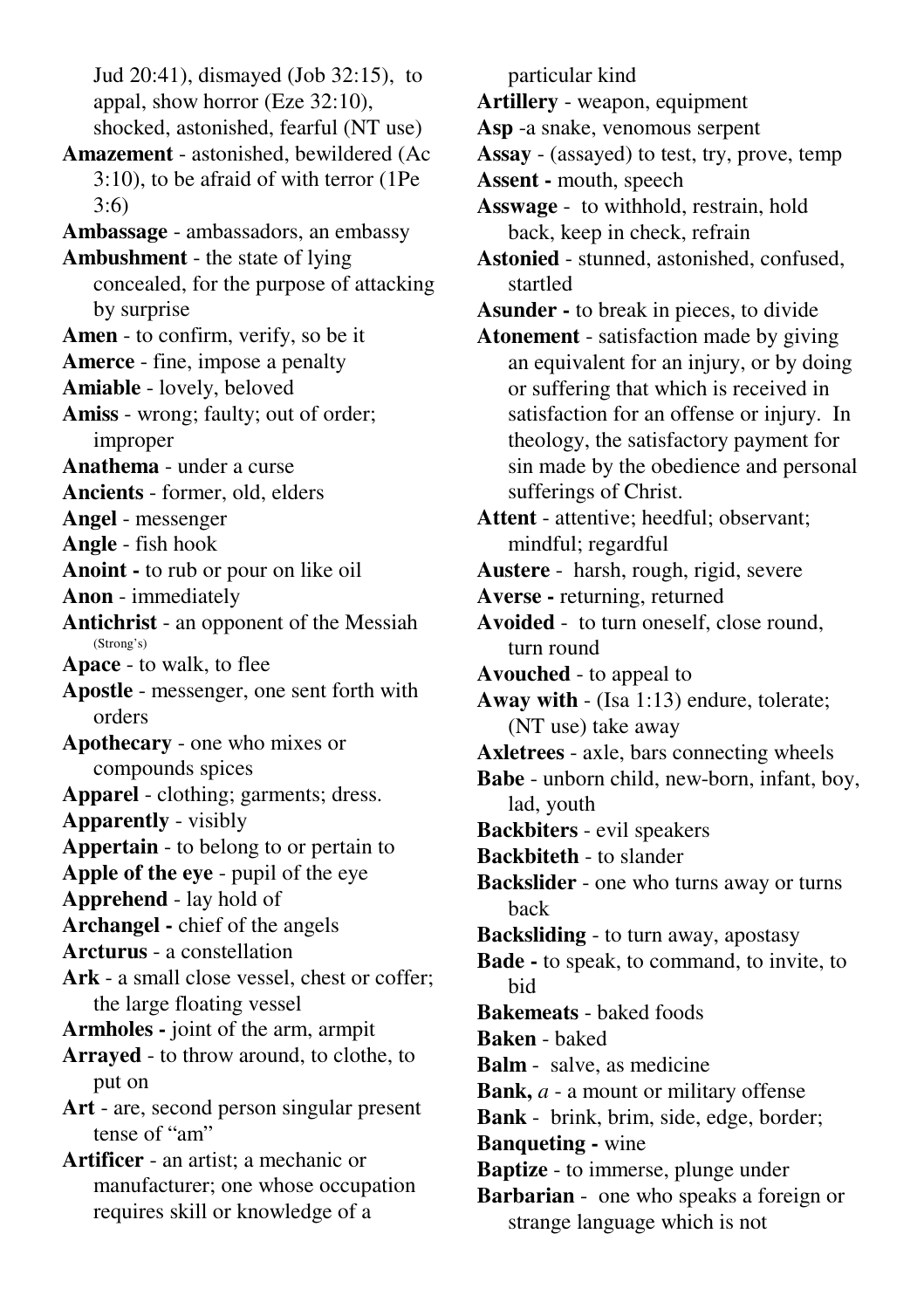Jud 20:41), dismayed (Job 32:15), to appal, show horror (Eze 32:10), shocked, astonished, fearful (NT use) **Amazement** - astonished, bewildered (Ac 3:10), to be afraid of with terror (1Pe 3:6) **Ambassage** - ambassadors, an embassy **Ambushment** - the state of lying concealed, for the purpose of attacking by surprise **Amen** - to confirm, verify, so be it **Amerce** - fine, impose a penalty **Amiable** - lovely, beloved **Amiss** - wrong; faulty; out of order; improper **Anathema** - under a curse **Ancients** - former, old, elders **Angel** - messenger **Angle** - fish hook **Anoint -** to rub or pour on like oil **Anon** - immediately **Antichrist** - an opponent of the Messiah (Strong's) **Apace** - to walk, to flee **Apostle** - messenger, one sent forth with orders **Apothecary** - one who mixes or compounds spices **Apparel** - clothing; garments; dress. **Apparently** - visibly **Appertain** - to belong to or pertain to **Apple of the eye** - pupil of the eye **Apprehend** - lay hold of **Archangel -** chief of the angels **Arcturus** - a constellation **Ark** - a small close vessel, chest or coffer; the large floating vessel **Armholes -** joint of the arm, armpit **Arrayed** - to throw around, to clothe, to put on **Art** - are, second person singular present tense of "am" **Artificer** - an artist; a mechanic or manufacturer; one whose occupation requires skill or knowledge of a

particular kind

**Artillery** - weapon, equipment

**Asp** -a snake, venomous serpent

**Assay** - (assayed) to test, try, prove, temp

**Assent -** mouth, speech

**Asswage** - to withhold, restrain, hold back, keep in check, refrain

**Astonied** - stunned, astonished, confused, startled

**Asunder -** to break in pieces, to divide

**Atonement** - satisfaction made by giving an equivalent for an injury, or by doing or suffering that which is received in satisfaction for an offense or injury. In theology, the satisfactory payment for sin made by the obedience and personal sufferings of Christ.

**Attent** - attentive; heedful; observant; mindful; regardful

**Austere** - harsh, rough, rigid, severe

**Averse -** returning, returned

**Avoided** - to turn oneself, close round, turn round

**Avouched** - to appeal to

**Away with** - (Isa 1:13) endure, tolerate; (NT use) take away

**Axletrees** - axle, bars connecting wheels

**Babe** - unborn child, new-born, infant, boy, lad, youth

- **Backbiters**  evil speakers
- **Backbiteth**  to slander

**Backslider** - one who turns away or turns back

**Backsliding** - to turn away, apostasy

**Bade -** to speak, to command, to invite, to bid

**Bakemeats** - baked foods

**Baken** - baked

**Balm** - salve, as medicine

**Bank,** *a* - a mount or military offense

**Bank** - brink, brim, side, edge, border;

**Banqueting -** wine

**Baptize** - to immerse, plunge under

**Barbarian** - one who speaks a foreign or strange language which is not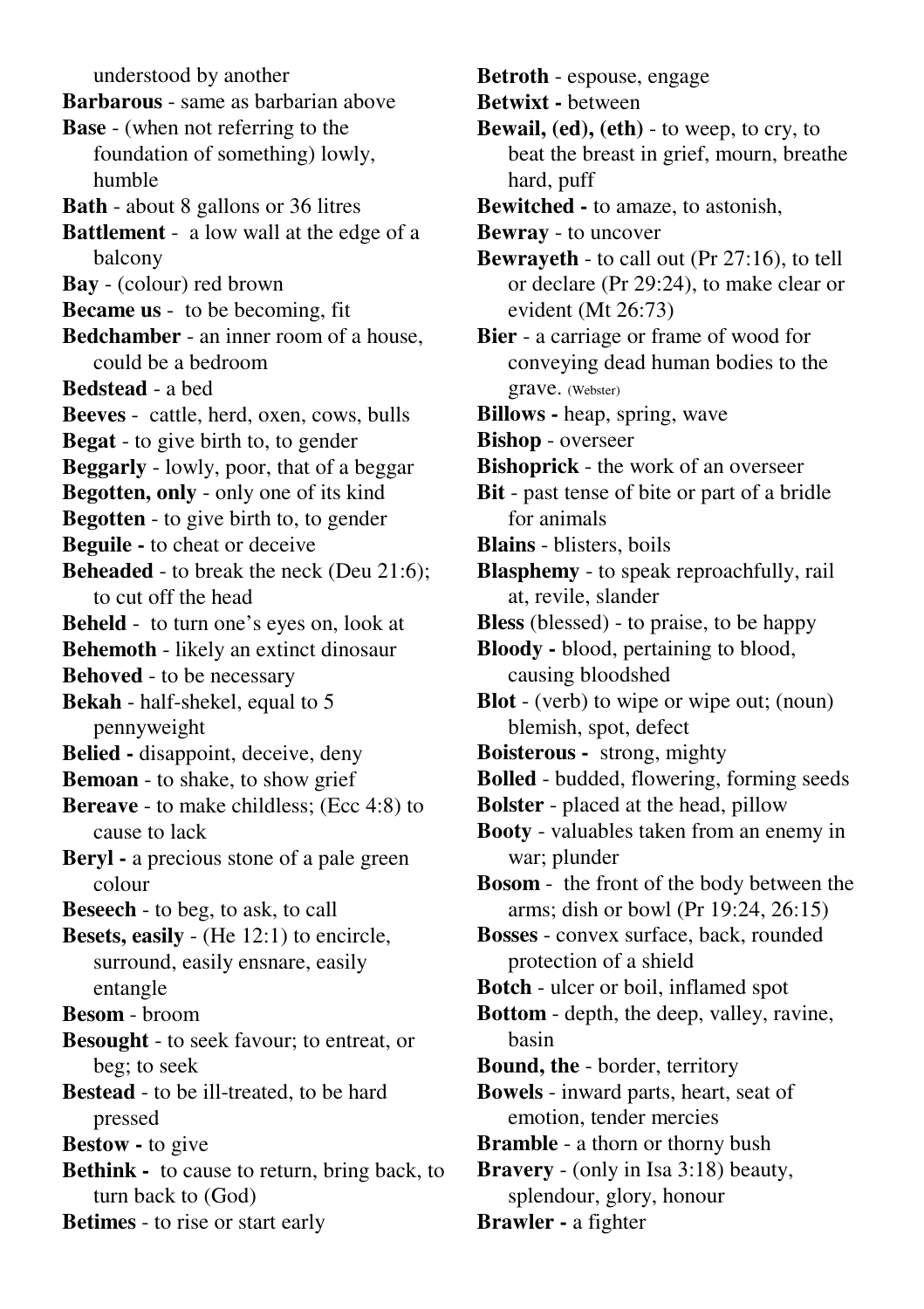understood by another **Barbarous** - same as barbarian above **Base** - (when not referring to the foundation of something) lowly, humble **Bath** - about 8 gallons or 36 litres **Battlement** - a low wall at the edge of a balcony **Bay** - (colour) red brown **Became us** - to be becoming, fit **Bedchamber** - an inner room of a house, could be a bedroom **Bedstead** - a bed **Beeves** - cattle, herd, oxen, cows, bulls **Begat** - to give birth to, to gender **Beggarly** - lowly, poor, that of a beggar **Begotten, only** - only one of its kind **Begotten** - to give birth to, to gender **Beguile -** to cheat or deceive **Beheaded** - to break the neck (Deu 21:6); to cut off the head **Beheld** - to turn one's eyes on, look at **Behemoth** - likely an extinct dinosaur **Behoved** - to be necessary **Bekah** - half-shekel, equal to 5 pennyweight **Belied -** disappoint, deceive, deny **Bemoan** - to shake, to show grief **Bereave** - to make childless; (Ecc 4:8) to cause to lack **Beryl -** a precious stone of a pale green colour **Beseech** - to beg, to ask, to call **Besets, easily** - (He 12:1) to encircle, surround, easily ensnare, easily entangle **Besom** - broom **Besought** - to seek favour; to entreat, or beg; to seek **Bestead** - to be ill-treated, to be hard pressed **Bestow -** to give **Bethink -** to cause to return, bring back, to turn back to (God) **Betimes** - to rise or start early

**Betroth** - espouse, engage **Betwixt -** between **Bewail, (ed), (eth)** - to weep, to cry, to beat the breast in grief, mourn, breathe hard, puff **Bewitched -** to amaze, to astonish, **Bewray** - to uncover **Bewrayeth** - to call out (Pr 27:16), to tell or declare (Pr 29:24), to make clear or evident (Mt 26:73) **Bier** - a carriage or frame of wood for conveying dead human bodies to the grave. (Webster) **Billows -** heap, spring, wave **Bishop** - overseer **Bishoprick** - the work of an overseer **Bit** - past tense of bite or part of a bridle for animals **Blains** - blisters, boils **Blasphemy** - to speak reproachfully, rail at, revile, slander **Bless** (blessed) - to praise, to be happy **Bloody -** blood, pertaining to blood, causing bloodshed **Blot** - (verb) to wipe or wipe out; (noun) blemish, spot, defect **Boisterous -** strong, mighty **Bolled** - budded, flowering, forming seeds **Bolster** - placed at the head, pillow **Booty** - valuables taken from an enemy in war; plunder **Bosom** - the front of the body between the arms; dish or bowl (Pr 19:24, 26:15) **Bosses** - convex surface, back, rounded protection of a shield **Botch** - ulcer or boil, inflamed spot **Bottom** - depth, the deep, valley, ravine, basin **Bound, the** - border, territory **Bowels** - inward parts, heart, seat of emotion, tender mercies **Bramble** - a thorn or thorny bush **Bravery** - (only in Isa 3:18) beauty,

splendour, glory, honour

**Brawler -** a fighter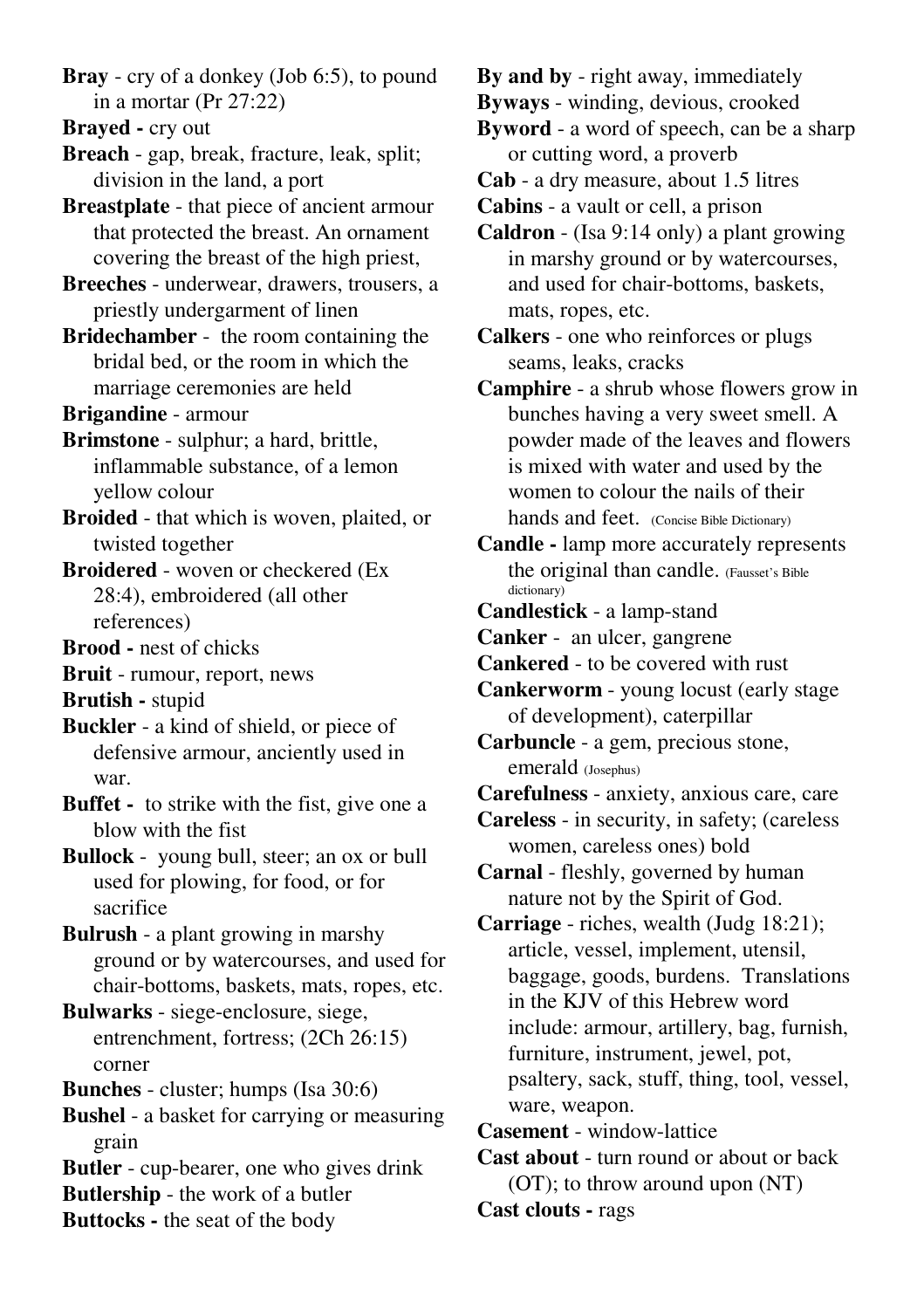**Bray** - cry of a donkey (Job 6:5), to pound in a mortar (Pr 27:22)

**Brayed -** cry out

**Breach** - gap, break, fracture, leak, split; division in the land, a port

**Breastplate** - that piece of ancient armour that protected the breast. An ornament covering the breast of the high priest,

**Breeches** - underwear, drawers, trousers, a priestly undergarment of linen

**Bridechamber** - the room containing the bridal bed, or the room in which the marriage ceremonies are held

**Brigandine** - armour

**Brimstone** - sulphur; a hard, brittle, inflammable substance, of a lemon yellow colour

**Broided** - that which is woven, plaited, or twisted together

**Broidered** - woven or checkered (Ex 28:4), embroidered (all other references)

**Brood -** nest of chicks

**Bruit** - rumour, report, news

**Brutish -** stupid

**Buckler** - a kind of shield, or piece of defensive armour, anciently used in war.

**Buffet -** to strike with the fist, give one a blow with the fist

**Bullock** - young bull, steer; an ox or bull used for plowing, for food, or for sacrifice

**Bulrush** - a plant growing in marshy ground or by watercourses, and used for chair-bottoms, baskets, mats, ropes, etc.

**Bulwarks** - siege-enclosure, siege, entrenchment, fortress; (2Ch 26:15) corner

**Bunches** - cluster; humps (Isa 30:6)

**Bushel** - a basket for carrying or measuring grain

**Butler** - cup-bearer, one who gives drink

**Butlership** - the work of a butler **Buttocks -** the seat of the body

**By and by** - right away, immediately

**Byways** - winding, devious, crooked

**Byword** - a word of speech, can be a sharp or cutting word, a proverb

**Cab** - a dry measure, about 1.5 litres

**Cabins** - a vault or cell, a prison

**Caldron** - (Isa 9:14 only) a plant growing in marshy ground or by watercourses, and used for chair-bottoms, baskets, mats, ropes, etc.

**Calkers** - one who reinforces or plugs seams, leaks, cracks

**Camphire** - a shrub whose flowers grow in bunches having a very sweet smell. A powder made of the leaves and flowers is mixed with water and used by the women to colour the nails of their hands and feet. (Concise Bible Dictionary)

**Candle -** lamp more accurately represents the original than candle. (Fausset's Bible dictionary)

**Candlestick** - a lamp-stand

**Canker** - an ulcer, gangrene

**Cankered** - to be covered with rust

**Cankerworm** - young locust (early stage of development), caterpillar

**Carbuncle** - a gem, precious stone, emerald (Josephus)

**Carefulness** - anxiety, anxious care, care

**Careless** - in security, in safety; (careless women, careless ones) bold

**Carnal** - fleshly, governed by human nature not by the Spirit of God.

**Carriage** - riches, wealth (Judg 18:21); article, vessel, implement, utensil, baggage, goods, burdens. Translations in the KJV of this Hebrew word include: armour, artillery, bag, furnish, furniture, instrument, jewel, pot, psaltery, sack, stuff, thing, tool, vessel, ware, weapon.

**Casement** - window-lattice

**Cast about** - turn round or about or back (OT); to throw around upon (NT)

**Cast clouts -** rags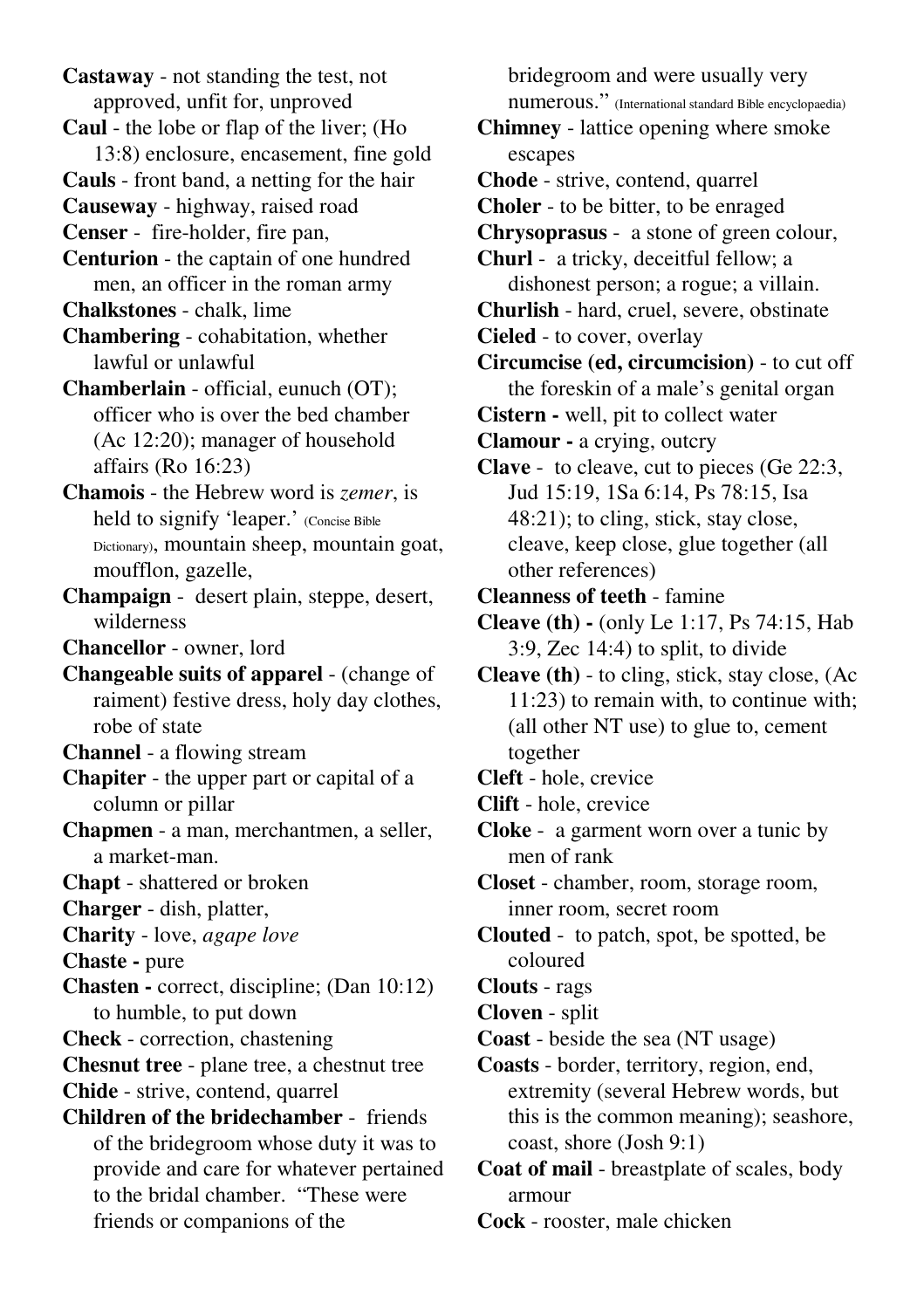**Castaway** - not standing the test, not approved, unfit for, unproved

**Caul** - the lobe or flap of the liver; (Ho 13:8) enclosure, encasement, fine gold

**Cauls** - front band, a netting for the hair

**Causeway** - highway, raised road

**Censer** - fire-holder, fire pan,

**Centurion** - the captain of one hundred men, an officer in the roman army

**Chalkstones** - chalk, lime

**Chambering** - cohabitation, whether lawful or unlawful

**Chamberlain** - official, eunuch (OT); officer who is over the bed chamber (Ac 12:20); manager of household affairs (Ro 16:23)

**Chamois** - the Hebrew word is *zemer*, is held to signify 'leaper.' (Concise Bible Dictionary), mountain sheep, mountain goat, moufflon, gazelle,

**Champaign** - desert plain, steppe, desert, wilderness

**Chancellor** - owner, lord

**Changeable suits of apparel** - (change of raiment) festive dress, holy day clothes, robe of state

**Channel** - a flowing stream

**Chapiter** - the upper part or capital of a column or pillar

**Chapmen** - a man, merchantmen, a seller, a market-man.

**Chapt** - shattered or broken

**Charger** - dish, platter,

**Charity** - love, *agape love*

**Chaste -** pure

**Chasten -** correct, discipline; (Dan 10:12) to humble, to put down

**Check** - correction, chastening

**Chesnut tree** - plane tree, a chestnut tree

**Chide** - strive, contend, quarrel

**Children of the bridechamber** - friends of the bridegroom whose duty it was to provide and care for whatever pertained to the bridal chamber. "These were friends or companions of the

bridegroom and were usually very numerous." (International standard Bible encyclopaedia) **Chimney** - lattice opening where smoke escapes **Chode** - strive, contend, quarrel **Choler** - to be bitter, to be enraged **Chrysoprasus** - a stone of green colour, **Churl** - a tricky, deceitful fellow; a dishonest person; a rogue; a villain. **Churlish** - hard, cruel, severe, obstinate **Cieled** - to cover, overlay **Circumcise (ed, circumcision)** - to cut off the foreskin of a male's genital organ

**Cistern -** well, pit to collect water

**Clamour -** a crying, outcry

**Clave** - to cleave, cut to pieces (Ge 22:3, Jud 15:19, 1Sa 6:14, Ps 78:15, Isa 48:21); to cling, stick, stay close, cleave, keep close, glue together (all other references)

**Cleanness of teeth** - famine

**Cleave (th) -** (only Le 1:17, Ps 74:15, Hab 3:9, Zec 14:4) to split, to divide

**Cleave (th)** - to cling, stick, stay close, (Ac 11:23) to remain with, to continue with; (all other NT use) to glue to, cement together

**Cleft** - hole, crevice

**Clift** - hole, crevice

**Cloke** - a garment worn over a tunic by men of rank

**Closet** - chamber, room, storage room, inner room, secret room

**Clouted** - to patch, spot, be spotted, be coloured

**Clouts** - rags

**Cloven** - split

**Coast** - beside the sea (NT usage)

**Coasts** - border, territory, region, end, extremity (several Hebrew words, but this is the common meaning); seashore, coast, shore (Josh 9:1)

**Coat of mail** - breastplate of scales, body armour

**Cock** - rooster, male chicken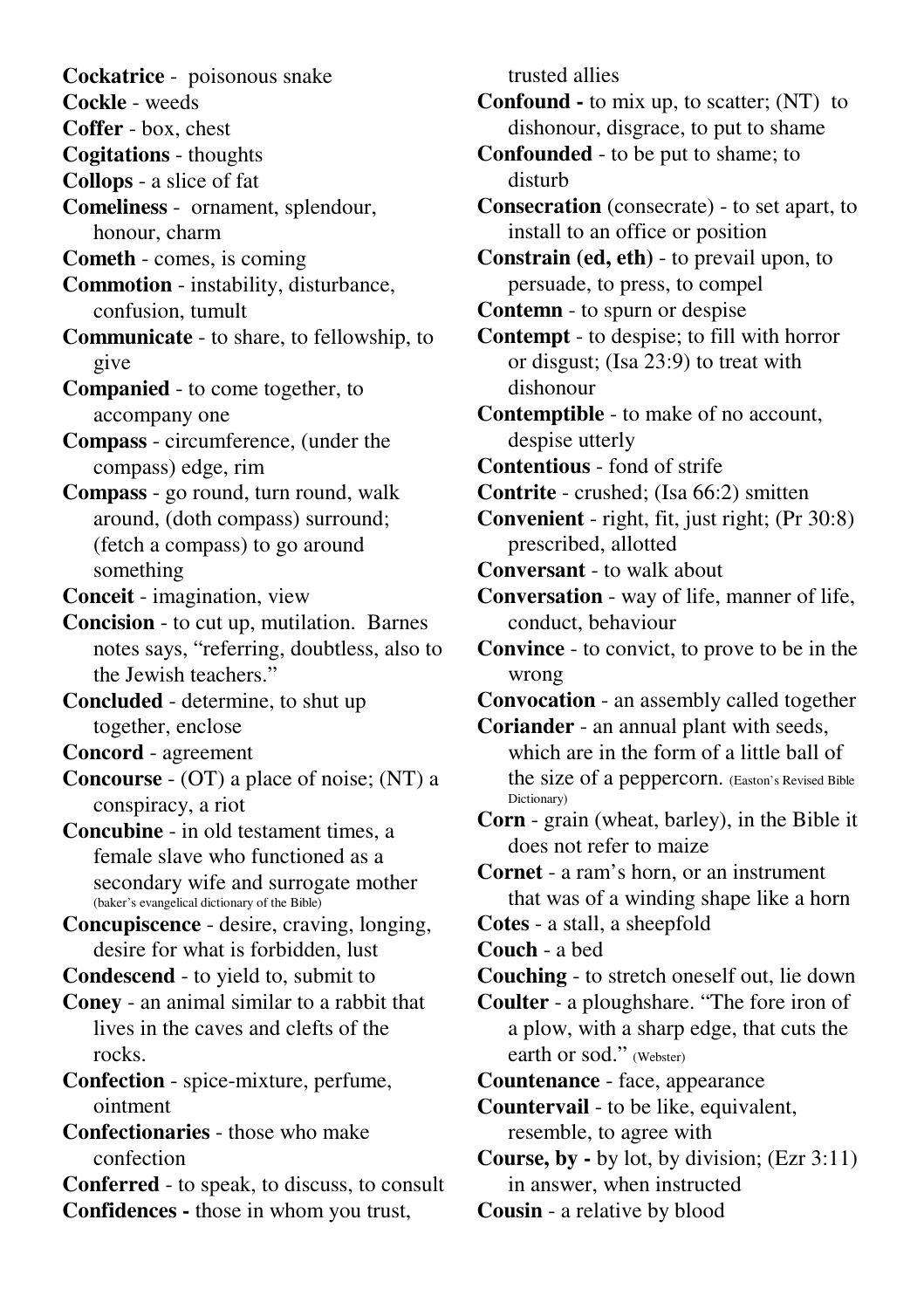**Cockatrice** - poisonous snake

**Cockle** - weeds

- **Coffer**  box, chest
- **Cogitations** thoughts
- **Collops**  a slice of fat
- **Comeliness**  ornament, splendour, honour, charm
- **Cometh**  comes, is coming
- **Commotion**  instability, disturbance, confusion, tumult
- **Communicate**  to share, to fellowship, to give
- **Companied**  to come together, to accompany one
- **Compass** circumference, (under the compass) edge, rim
- **Compass**  go round, turn round, walk around, (doth compass) surround; (fetch a compass) to go around something
- **Conceit**  imagination, view
- **Concision**  to cut up, mutilation. Barnes notes says, "referring, doubtless, also to the Jewish teachers."
- **Concluded**  determine, to shut up together, enclose
- **Concord**  agreement
- **Concourse**  (OT) a place of noise; (NT) a conspiracy, a riot
- **Concubine** in old testament times, a female slave who functioned as a secondary wife and surrogate mother (baker's evangelical dictionary of the Bible)
- **Concupiscence** desire, craving, longing, desire for what is forbidden, lust
- **Condescend**  to yield to, submit to
- **Coney**  an animal similar to a rabbit that lives in the caves and clefts of the rocks.
- **Confection** spice-mixture, perfume, ointment
- **Confectionaries**  those who make confection
- **Conferred**  to speak, to discuss, to consult **Confidences -** those in whom you trust,

trusted allies

**Confound -** to mix up, to scatter; (NT) to dishonour, disgrace, to put to shame

**Confounded** - to be put to shame; to disturb

**Consecration** (consecrate) - to set apart, to install to an office or position

**Constrain (ed, eth)** - to prevail upon, to persuade, to press, to compel

**Contemn** - to spurn or despise

- **Contempt**  to despise; to fill with horror or disgust; (Isa 23:9) to treat with dishonour
- **Contemptible**  to make of no account, despise utterly
- **Contentious**  fond of strife
- **Contrite**  crushed; (Isa 66:2) smitten
- **Convenient**  right, fit, just right; (Pr 30:8) prescribed, allotted
- **Conversant**  to walk about
- **Conversation**  way of life, manner of life, conduct, behaviour
- **Convince**  to convict, to prove to be in the wrong
- **Convocation**  an assembly called together
- **Coriander**  an annual plant with seeds, which are in the form of a little ball of the size of a peppercorn. (Easton's Revised Bible Dictionary)
- **Corn** grain (wheat, barley), in the Bible it does not refer to maize
- **Cornet** a ram's horn, or an instrument that was of a winding shape like a horn
- **Cotes** a stall, a sheepfold

**Couch** - a bed

- **Couching** to stretch oneself out, lie down
- **Coulter**  a ploughshare. "The fore iron of a plow, with a sharp edge, that cuts the earth or sod." (Webster)
- **Countenance**  face, appearance
- **Countervail**  to be like, equivalent, resemble, to agree with
- **Course, by** by lot, by division; (Ezr 3:11) in answer, when instructed
- **Cousin**  a relative by blood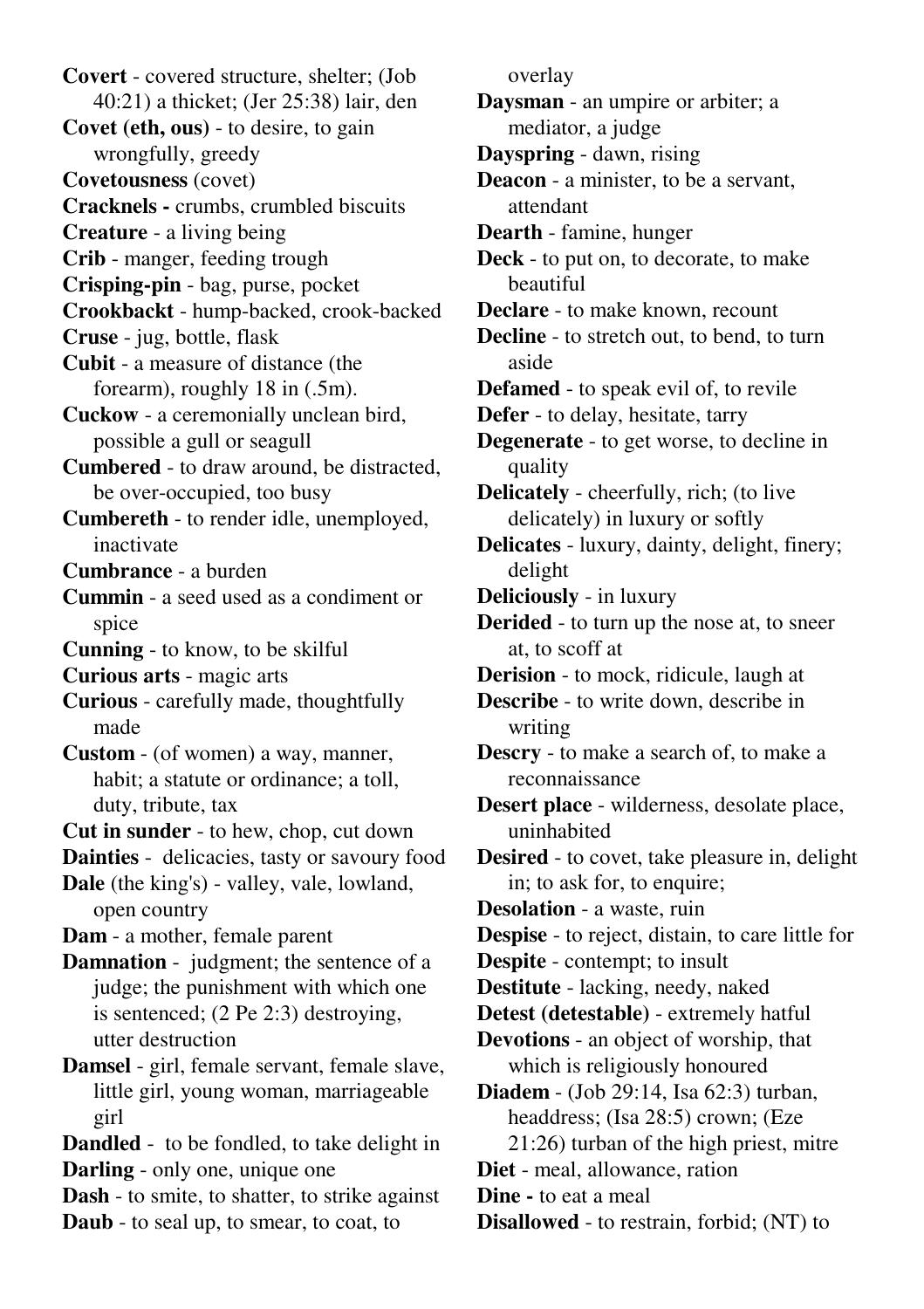**Covert** - covered structure, shelter; (Job 40:21) a thicket; (Jer 25:38) lair, den **Covet (eth, ous)** - to desire, to gain wrongfully, greedy **Covetousness** (covet) **Cracknels -** crumbs, crumbled biscuits **Creature** - a living being **Crib** - manger, feeding trough **Crisping-pin** - bag, purse, pocket **Crookbackt** - hump-backed, crook-backed **Cruse** - jug, bottle, flask **Cubit** - a measure of distance (the forearm), roughly 18 in (.5m). **Cuckow** - a ceremonially unclean bird, possible a gull or seagull **Cumbered** - to draw around, be distracted, be over-occupied, too busy **Cumbereth** - to render idle, unemployed, inactivate **Cumbrance** - a burden **Cummin** - a seed used as a condiment or spice **Cunning** - to know, to be skilful **Curious arts** - magic arts **Curious** - carefully made, thoughtfully made **Custom** - (of women) a way, manner, habit; a statute or ordinance; a toll, duty, tribute, tax **Cut in sunder** - to hew, chop, cut down **Dainties** - delicacies, tasty or savoury food **Dale** (the king's) - valley, vale, lowland, open country **Dam** - a mother, female parent **Damnation** - judgment; the sentence of a judge; the punishment with which one is sentenced; (2 Pe 2:3) destroying, utter destruction **Damsel** - girl, female servant, female slave, little girl, young woman, marriageable girl **Dandled** - to be fondled, to take delight in **Darling** - only one, unique one

**Dash** - to smite, to shatter, to strike against

**Daub** - to seal up, to smear, to coat, to

overlay

**Daysman** - an umpire or arbiter; a mediator, a judge

**Dayspring** - dawn, rising

**Deacon** - a minister, to be a servant, attendant

- **Dearth**  famine, hunger
- **Deck**  to put on, to decorate, to make beautiful
- **Declare**  to make known, recount
- **Decline**  to stretch out, to bend, to turn aside
- **Defamed**  to speak evil of, to revile
- **Defer**  to delay, hesitate, tarry

**Degenerate** - to get worse, to decline in quality

**Delicately** - cheerfully, rich; (to live delicately) in luxury or softly

**Delicates** - luxury, dainty, delight, finery; delight

**Deliciously** - in luxury

**Derided** - to turn up the nose at, to sneer at, to scoff at

- **Derision**  to mock, ridicule, laugh at
- **Describe**  to write down, describe in writing
- **Descry**  to make a search of, to make a reconnaissance
- **Desert place**  wilderness, desolate place, uninhabited
- **Desired** to covet, take pleasure in, delight in; to ask for, to enquire;

**Desolation** - a waste, ruin

**Despise** - to reject, distain, to care little for

- **Despite**  contempt; to insult
- **Destitute**  lacking, needy, naked

**Detest (detestable)** - extremely hatful

**Devotions** - an object of worship, that which is religiously honoured

**Diadem** - (Job 29:14, Isa 62:3) turban, headdress; (Isa 28:5) crown; (Eze 21:26) turban of the high priest, mitre

- **Diet**  meal, allowance, ration
- **Dine** to eat a meal

**Disallowed** - to restrain, forbid; (NT) to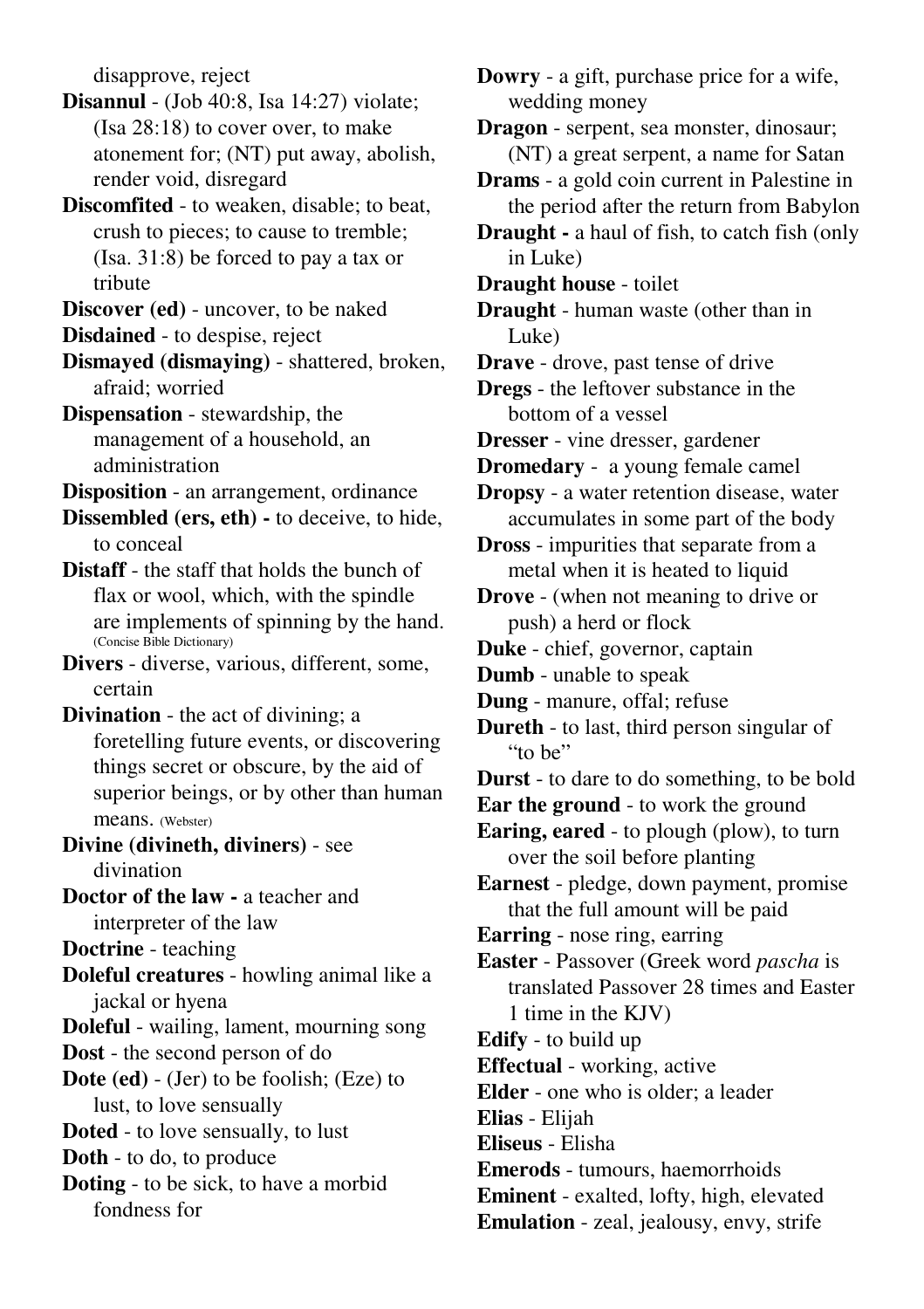disapprove, reject

**Disannul** - (Job 40:8, Isa 14:27) violate; (Isa 28:18) to cover over, to make atonement for; (NT) put away, abolish, render void, disregard

**Discomfited** - to weaken, disable; to beat, crush to pieces; to cause to tremble; (Isa. 31:8) be forced to pay a tax or tribute

**Discover (ed)** - uncover, to be naked

**Disdained** - to despise, reject

**Dismayed (dismaying)** - shattered, broken, afraid; worried

**Dispensation** - stewardship, the management of a household, an administration

**Disposition** - an arrangement, ordinance

**Dissembled (ers, eth) -** to deceive, to hide, to conceal

**Distaff** - the staff that holds the bunch of flax or wool, which, with the spindle are implements of spinning by the hand. (Concise Bible Dictionary)

**Divers** - diverse, various, different, some, certain

**Divination** - the act of divining; a foretelling future events, or discovering things secret or obscure, by the aid of superior beings, or by other than human means. (Webster)

**Divine (divineth, diviners)** - see divination

**Doctor of the law -** a teacher and interpreter of the law

**Doctrine** - teaching

**Doleful creatures** - howling animal like a jackal or hyena

**Doleful** - wailing, lament, mourning song

**Dost** - the second person of do

**Dote (ed)** - (Jer) to be foolish; (Eze) to lust, to love sensually

**Doted** - to love sensually, to lust

**Doth** - to do, to produce

**Doting** - to be sick, to have a morbid fondness for

**Dowry** - a gift, purchase price for a wife, wedding money

**Dragon** - serpent, sea monster, dinosaur; (NT) a great serpent, a name for Satan

**Drams** - a gold coin current in Palestine in the period after the return from Babylon

**Draught -** a haul of fish, to catch fish (only in Luke)

**Draught house** - toilet

**Draught** - human waste (other than in Luke)

**Drave** - drove, past tense of drive

**Dregs** - the leftover substance in the bottom of a vessel

**Dresser** - vine dresser, gardener

**Dromedary** - a young female camel

**Dropsy** - a water retention disease, water accumulates in some part of the body

**Dross** - impurities that separate from a metal when it is heated to liquid

**Drove** - (when not meaning to drive or push) a herd or flock

- **Duke**  chief, governor, captain
- **Dumb**  unable to speak
- **Dung**  manure, offal; refuse
- **Dureth**  to last, third person singular of "to be"
- **Durst**  to dare to do something, to be bold
- **Ear the ground** to work the ground

**Earing, eared** - to plough (plow), to turn over the soil before planting

**Earnest** - pledge, down payment, promise that the full amount will be paid

**Earring** - nose ring, earring

**Easter** - Passover (Greek word *pascha* is translated Passover 28 times and Easter 1 time in the KJV)

**Edify** - to build up

**Effectual** - working, active

**Elder** - one who is older; a leader

**Elias** - Elijah

- **Eliseus**  Elisha
- **Emerods** tumours, haemorrhoids

**Eminent** - exalted, lofty, high, elevated

**Emulation** - zeal, jealousy, envy, strife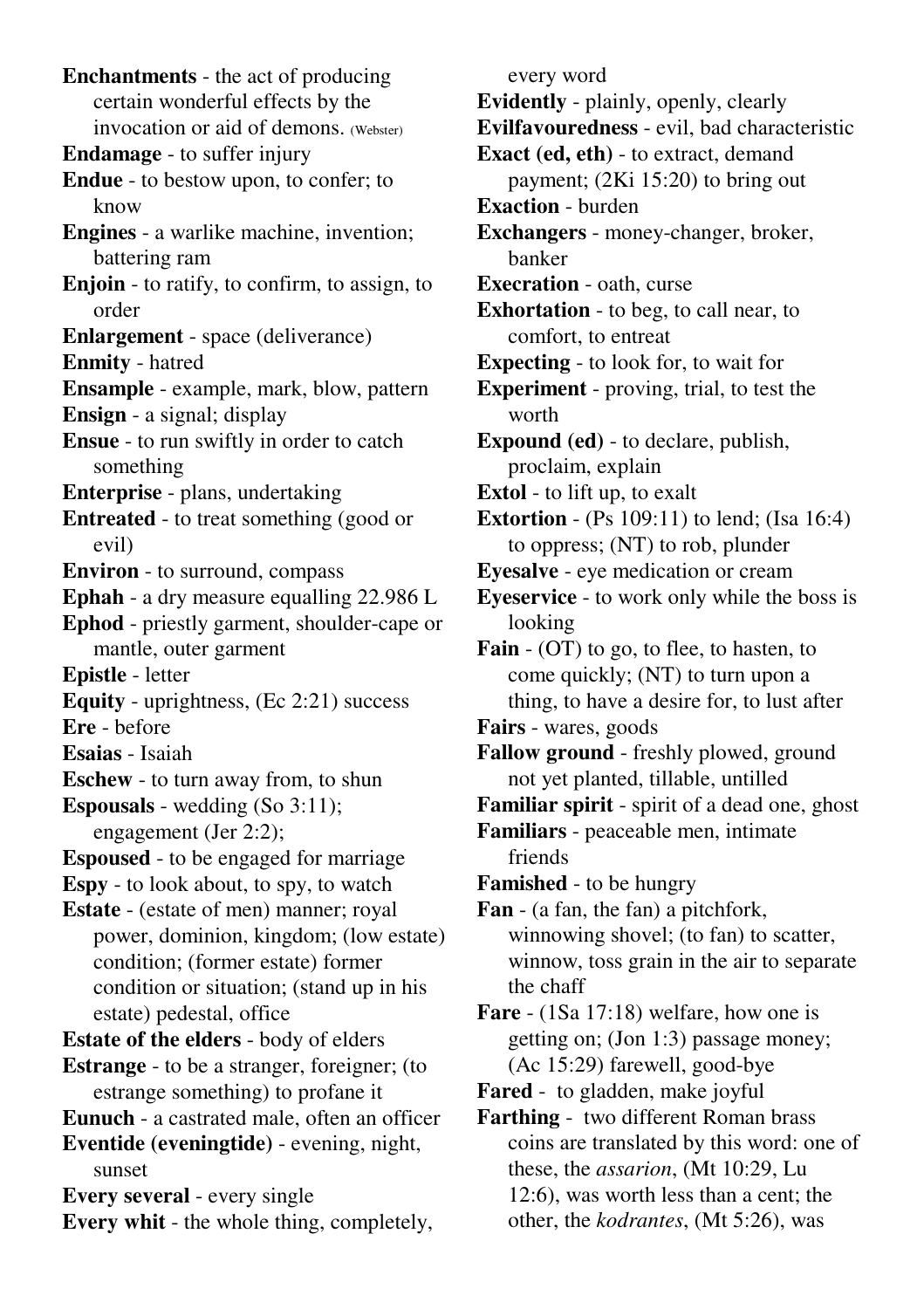**Enchantments** - the act of producing certain wonderful effects by the invocation or aid of demons. (Webster) **Endamage** - to suffer injury **Endue** - to bestow upon, to confer; to know **Engines** - a warlike machine, invention; battering ram **Enjoin** - to ratify, to confirm, to assign, to order **Enlargement** - space (deliverance) **Enmity** - hatred **Ensample** - example, mark, blow, pattern **Ensign** - a signal; display **Ensue** - to run swiftly in order to catch something **Enterprise** - plans, undertaking **Entreated** - to treat something (good or evil) **Environ** - to surround, compass **Ephah** - a dry measure equalling 22.986 L **Ephod** - priestly garment, shoulder-cape or mantle, outer garment **Epistle** - letter **Equity** - uprightness, (Ec 2:21) success **Ere** - before **Esaias** - Isaiah **Eschew** - to turn away from, to shun **Espousals** - wedding (So 3:11); engagement (Jer 2:2); **Espoused** - to be engaged for marriage **Espy** - to look about, to spy, to watch **Estate** - (estate of men) manner; royal power, dominion, kingdom; (low estate) condition; (former estate) former condition or situation; (stand up in his estate) pedestal, office **Estate of the elders** - body of elders **Estrange** - to be a stranger, foreigner; (to estrange something) to profane it **Eunuch** - a castrated male, often an officer **Eventide (eveningtide)** - evening, night, sunset **Every several** - every single **Every whit** - the whole thing, completely,

every word **Evidently** - plainly, openly, clearly **Evilfavouredness** - evil, bad characteristic **Exact (ed. eth)** - to extract, demand payment; (2Ki 15:20) to bring out **Exaction** - burden **Exchangers** - money-changer, broker, banker **Execration** - oath, curse **Exhortation** - to beg, to call near, to comfort, to entreat **Expecting** - to look for, to wait for **Experiment** - proving, trial, to test the worth **Expound (ed)** - to declare, publish, proclaim, explain **Extol** - to lift up, to exalt **Extortion** - (Ps 109:11) to lend; (Isa 16:4) to oppress; (NT) to rob, plunder **Eyesalve** - eye medication or cream **Eyeservice** - to work only while the boss is looking **Fain** - (OT) to go, to flee, to hasten, to come quickly; (NT) to turn upon a thing, to have a desire for, to lust after **Fairs** - wares, goods **Fallow ground** - freshly plowed, ground not yet planted, tillable, untilled **Familiar spirit** - spirit of a dead one, ghost **Familiars** - peaceable men, intimate friends **Famished** - to be hungry **Fan** - (a fan, the fan) a pitchfork, winnowing shovel; (to fan) to scatter, winnow, toss grain in the air to separate the chaff **Fare** - (1Sa 17:18) welfare, how one is getting on; (Jon 1:3) passage money; (Ac 15:29) farewell, good-bye **Fared** - to gladden, make joyful **Farthing** - two different Roman brass coins are translated by this word: one of these, the *assarion*, (Mt 10:29, Lu 12:6), was worth less than a cent; the

other, the *kodrantes*, (Mt 5:26), was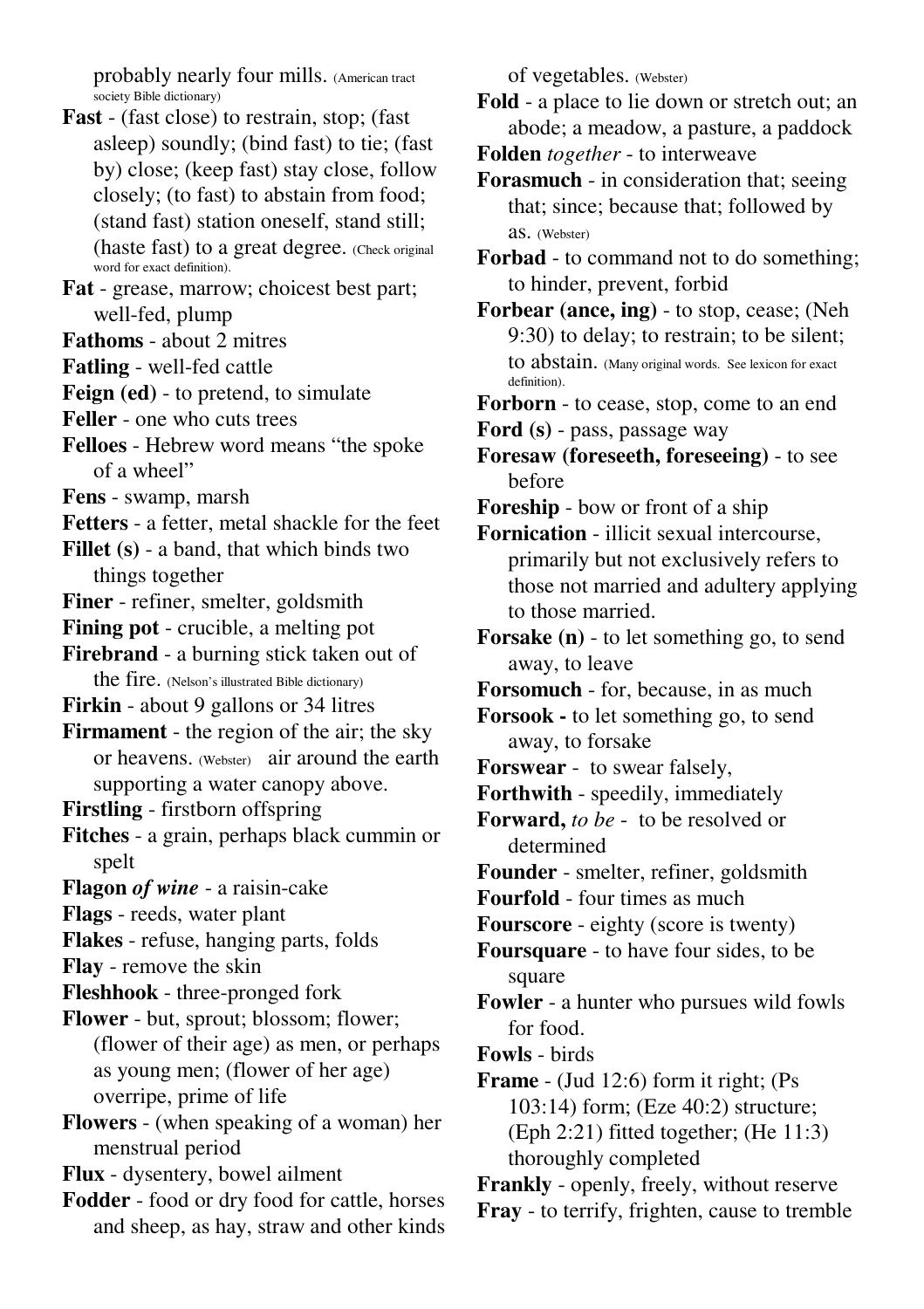probably nearly four mills. (American tract society Bible dictionary)

- **Fast**  (fast close) to restrain, stop; (fast asleep) soundly; (bind fast) to tie; (fast by) close; (keep fast) stay close, follow closely; (to fast) to abstain from food; (stand fast) station oneself, stand still; (haste fast) to a great degree. (Check original word for exact definition).
- **Fat**  grease, marrow; choicest best part; well-fed, plump
- **Fathoms**  about 2 mitres
- **Fatling**  well-fed cattle
- **Feign (ed)**  to pretend, to simulate
- **Feller**  one who cuts trees
- **Felloes**  Hebrew word means "the spoke of a wheel"
- **Fens**  swamp, marsh
- **Fetters** a fetter, metal shackle for the feet
- **Fillet (s)** a band, that which binds two things together
- **Finer**  refiner, smelter, goldsmith
- **Fining pot** crucible, a melting pot
- **Firebrand**  a burning stick taken out of the fire. (Nelson's illustrated Bible dictionary)
- **Firkin** about 9 gallons or 34 litres
- **Firmament**  the region of the air; the sky or heavens. (Webster) air around the earth supporting a water canopy above.
- **Firstling** firstborn offspring
- **Fitches** a grain, perhaps black cummin or spelt
- **Flagon** *of wine* a raisin-cake
- **Flags**  reeds, water plant
- **Flakes** refuse, hanging parts, folds
- **Flay** remove the skin
- **Fleshhook** three-pronged fork
- **Flower**  but, sprout; blossom; flower; (flower of their age) as men, or perhaps as young men; (flower of her age) overripe, prime of life
- **Flowers** (when speaking of a woman) her menstrual period
- **Flux** dysentery, bowel ailment
- **Fodder**  food or dry food for cattle, horses and sheep, as hay, straw and other kinds

of vegetables. (Webster)

**Fold** - a place to lie down or stretch out; an abode; a meadow, a pasture, a paddock

**Folden** *together* - to interweave

- **Forasmuch** in consideration that; seeing that; since; because that; followed by as. (Webster)
- **Forbad**  to command not to do something; to hinder, prevent, forbid
- **Forbear (ance, ing)**  to stop, cease; (Neh 9:30) to delay; to restrain; to be silent; to abstain. (Many original words. See lexicon for exact definition).
- **Forborn**  to cease, stop, come to an end
- **Ford (s)** pass, passage way
- **Foresaw (foreseeth, foreseeing)**  to see before
- **Foreship**  bow or front of a ship
- **Fornication**  illicit sexual intercourse, primarily but not exclusively refers to those not married and adultery applying to those married.
- **Forsake (n)**  to let something go, to send away, to leave
- **Forsomuch**  for, because, in as much
- **Forsook** to let something go, to send away, to forsake
- **Forswear**  to swear falsely,
- **Forthwith**  speedily, immediately
- **Forward,** *to be*  to be resolved or determined
- **Founder**  smelter, refiner, goldsmith
- **Fourfold**  four times as much
- **Fourscore**  eighty (score is twenty)
- **Foursquare**  to have four sides, to be square
- **Fowler**  a hunter who pursues wild fowls for food.
- **Fowls**  birds
- **Frame** (Jud 12:6) form it right; (Ps 103:14) form; (Eze 40:2) structure; (Eph 2:21) fitted together; (He 11:3) thoroughly completed
- **Frankly** openly, freely, without reserve
- **Fray** to terrify, frighten, cause to tremble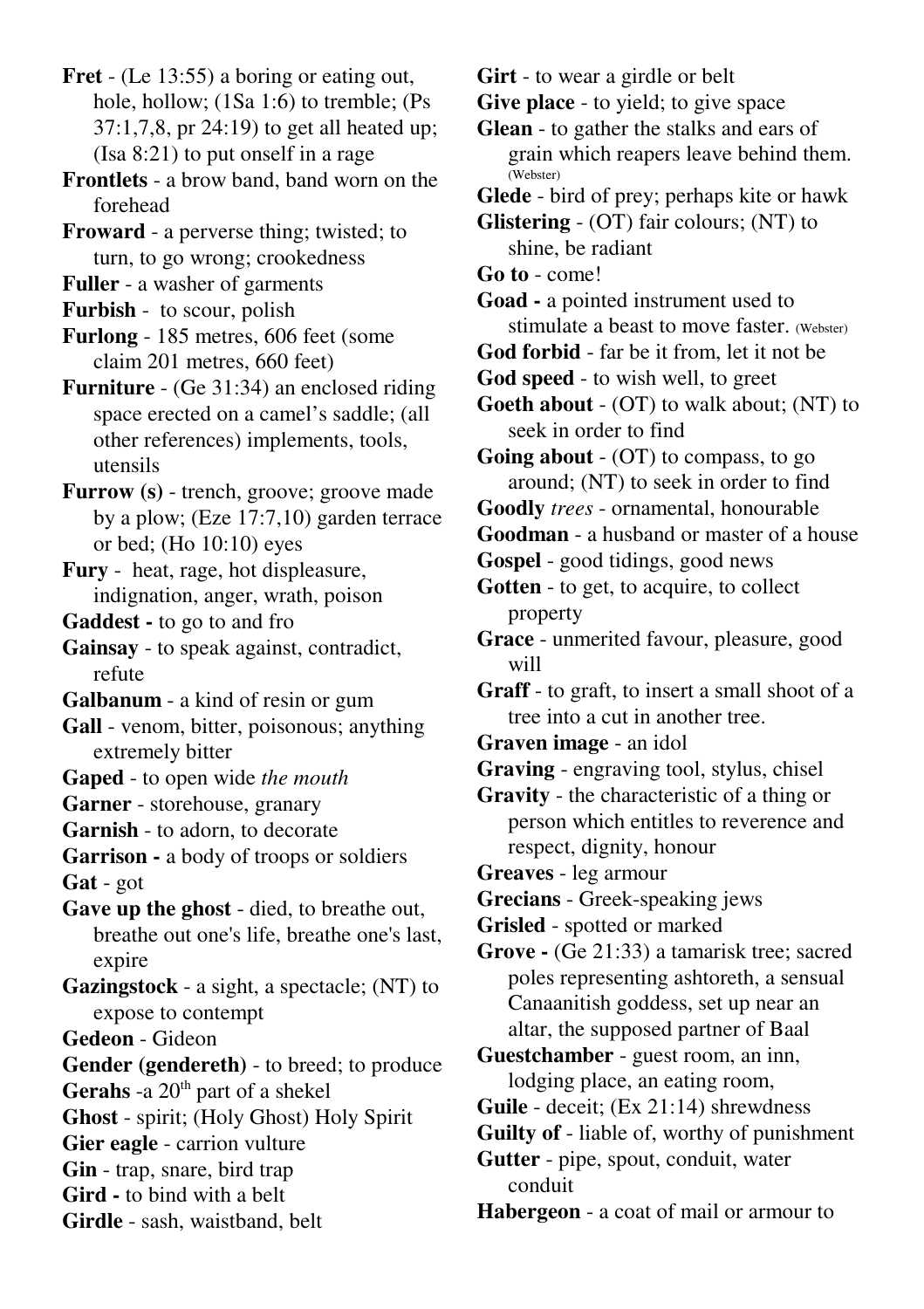**Fret** - (Le 13:55) a boring or eating out, hole, hollow; (1Sa 1:6) to tremble; (Ps 37:1,7,8, pr 24:19) to get all heated up; (Isa 8:21) to put onself in a rage

**Frontlets** - a brow band, band worn on the forehead

**Froward** - a perverse thing; twisted; to turn, to go wrong; crookedness

**Fuller** - a washer of garments

**Furbish** - to scour, polish

**Furlong** - 185 metres, 606 feet (some claim 201 metres, 660 feet)

**Furniture** - (Ge 31:34) an enclosed riding space erected on a camel's saddle; (all other references) implements, tools, utensils

**Furrow (s)** - trench, groove; groove made by a plow; (Eze 17:7,10) garden terrace or bed; (Ho 10:10) eyes

**Fury** - heat, rage, hot displeasure, indignation, anger, wrath, poison

**Gaddest -** to go to and fro

**Gainsay** - to speak against, contradict, refute

**Galbanum** - a kind of resin or gum

**Gall** - venom, bitter, poisonous; anything extremely bitter

**Gaped** - to open wide *the mouth*

**Garner** - storehouse, granary

**Garnish** - to adorn, to decorate

**Garrison -** a body of troops or soldiers

**Gat** - got

**Gave up the ghost** - died, to breathe out, breathe out one's life, breathe one's last, expire

**Gazingstock** - a sight, a spectacle; (NT) to expose to contempt

**Gedeon** - Gideon

**Gender (gendereth)** - to breed; to produce

Gerahs -a 20<sup>th</sup> part of a shekel

**Ghost** - spirit; (Holy Ghost) Holy Spirit

**Gier eagle** - carrion vulture

**Gin** - trap, snare, bird trap

**Gird -** to bind with a belt

**Girdle** - sash, waistband, belt

**Girt** - to wear a girdle or belt

**Give place** - to yield; to give space

**Glean** - to gather the stalks and ears of grain which reapers leave behind them. (Webster)

**Glede** - bird of prey; perhaps kite or hawk

**Glistering** - (OT) fair colours; (NT) to shine, be radiant

**Go to** - come!

**Goad -** a pointed instrument used to

stimulate a beast to move faster. (Webster)

**God forbid** - far be it from, let it not be

**God speed** - to wish well, to greet

**Goeth about** - (OT) to walk about; (NT) to seek in order to find

**Going about** - (OT) to compass, to go around; (NT) to seek in order to find

**Goodly** *trees* - ornamental, honourable

**Goodman** - a husband or master of a house

**Gospel** - good tidings, good news

**Gotten** - to get, to acquire, to collect property

**Grace** - unmerited favour, pleasure, good will

**Graff** - to graft, to insert a small shoot of a tree into a cut in another tree.

**Graven image** - an idol

**Graving** - engraving tool, stylus, chisel

**Gravity** - the characteristic of a thing or person which entitles to reverence and respect, dignity, honour

**Greaves** - leg armour

**Grecians** - Greek-speaking jews

**Grisled** - spotted or marked

**Grove -** (Ge 21:33) a tamarisk tree; sacred poles representing ashtoreth, a sensual Canaanitish goddess, set up near an altar, the supposed partner of Baal

**Guestchamber** - guest room, an inn, lodging place, an eating room,

**Guile** - deceit; (Ex 21:14) shrewdness

**Guilty of** - liable of, worthy of punishment

**Gutter** - pipe, spout, conduit, water conduit

**Habergeon** - a coat of mail or armour to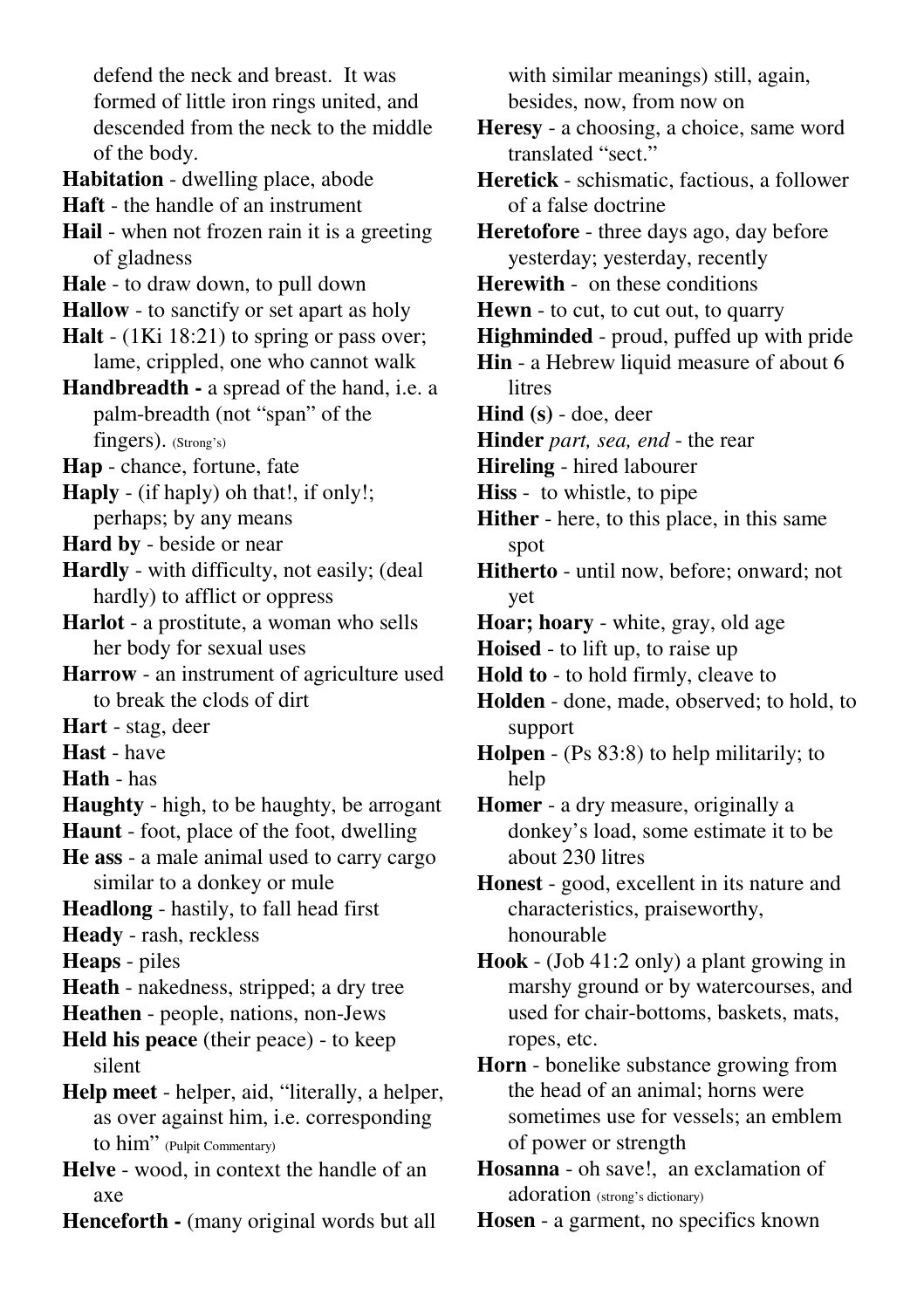defend the neck and breast. It was formed of little iron rings united, and descended from the neck to the middle of the body.

**Habitation** - dwelling place, abode

**Haft** - the handle of an instrument

**Hail** - when not frozen rain it is a greeting of gladness

**Hale** - to draw down, to pull down

**Hallow** - to sanctify or set apart as holy

**Halt** - (1Ki 18:21) to spring or pass over; lame, crippled, one who cannot walk

**Handbreadth -** a spread of the hand, i.e. a palm-breadth (not "span" of the fingers). (Strong's)

**Hap** - chance, fortune, fate

**Haply** - (if haply) oh that!, if only!; perhaps; by any means

**Hard by** - beside or near

**Hardly** - with difficulty, not easily; (deal hardly) to afflict or oppress

**Harlot** - a prostitute, a woman who sells her body for sexual uses

**Harrow** - an instrument of agriculture used to break the clods of dirt

**Hart** - stag, deer

**Hast** - have

**Hath** - has

**Haughty** - high, to be haughty, be arrogant

**Haunt** - foot, place of the foot, dwelling

**He ass** - a male animal used to carry cargo similar to a donkey or mule

**Headlong** - hastily, to fall head first

**Heady** - rash, reckless

**Heaps** - piles

**Heath** - nakedness, stripped; a dry tree

**Heathen** - people, nations, non-Jews

**Held his peace** (their peace) - to keep silent

**Help meet** - helper, aid, "literally, a helper, as over against him, i.e. corresponding to him" (Pulpit Commentary)

**Helve** - wood, in context the handle of an axe

**Henceforth -** (many original words but all

with similar meanings) still, again, besides, now, from now on

**Heresy** - a choosing, a choice, same word translated "sect."

**Heretick** - schismatic, factious, a follower of a false doctrine

**Heretofore** - three days ago, day before yesterday; yesterday, recently

**Herewith** - on these conditions

**Hewn** - to cut, to cut out, to quarry

**Highminded** - proud, puffed up with pride

**Hin** - a Hebrew liquid measure of about 6 **litres** 

**Hind (s)** - doe, deer

**Hinder** *part, sea, end* - the rear

**Hireling** - hired labourer

**Hiss** - to whistle, to pipe

**Hither** - here, to this place, in this same spot

**Hitherto** - until now, before; onward; not yet

**Hoar; hoary** - white, gray, old age

**Hoised** - to lift up, to raise up

**Hold to** - to hold firmly, cleave to

**Holden** - done, made, observed; to hold, to support

**Holpen** - (Ps 83:8) to help militarily; to help

**Homer** - a dry measure, originally a donkey's load, some estimate it to be about 230 litres

**Honest** - good, excellent in its nature and characteristics, praiseworthy, honourable

**Hook** - (Job 41:2 only) a plant growing in marshy ground or by watercourses, and used for chair-bottoms, baskets, mats, ropes, etc.

**Horn** - bonelike substance growing from the head of an animal; horns were sometimes use for vessels; an emblem of power or strength

**Hosanna** - oh save!, an exclamation of adoration (strong's dictionary)

**Hosen** - a garment, no specifics known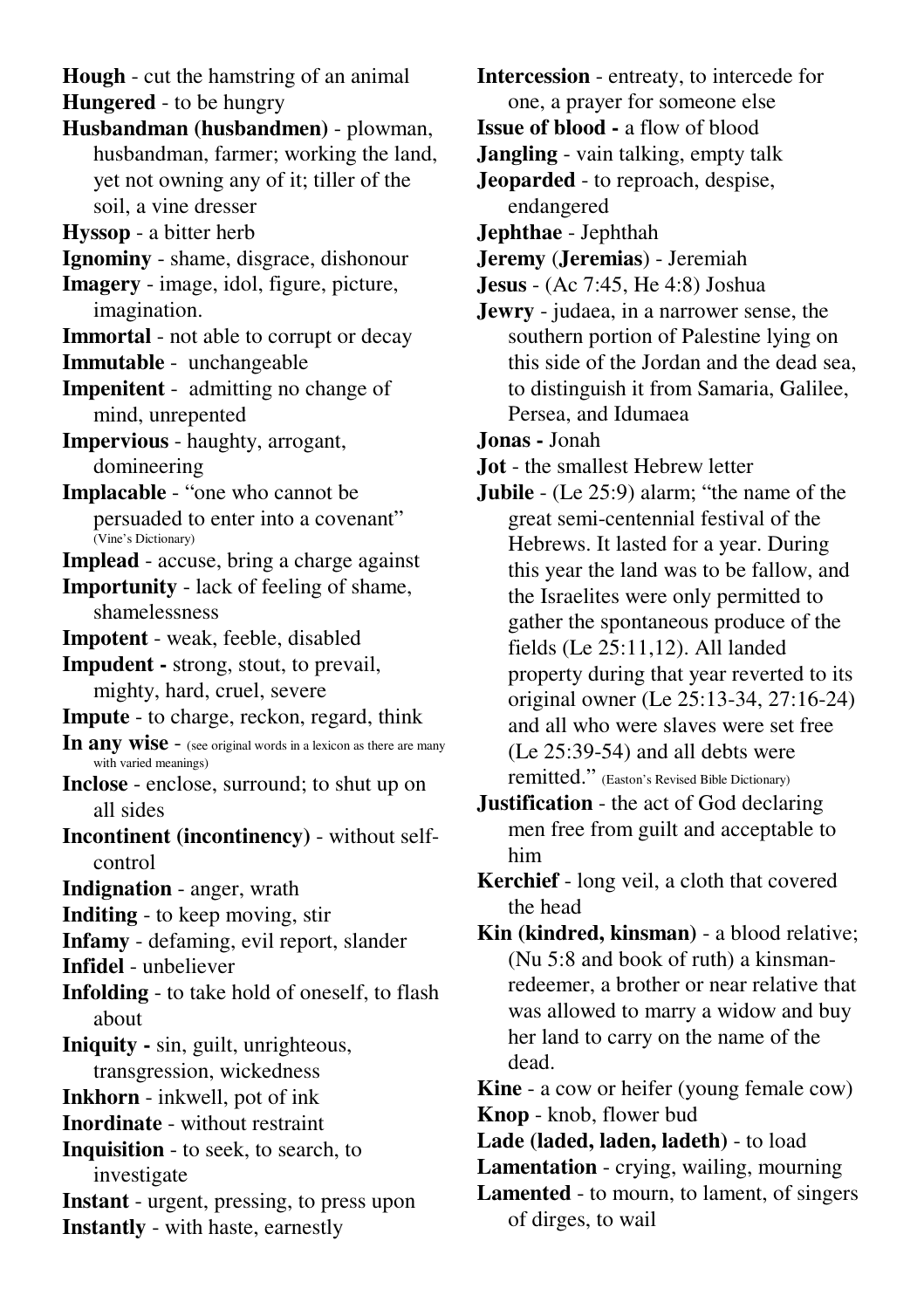**Hough** - cut the hamstring of an animal **Hungered** - to be hungry

**Husbandman (husbandmen)** - plowman, husbandman, farmer; working the land, yet not owning any of it; tiller of the soil, a vine dresser

**Hyssop** - a bitter herb

**Ignominy** - shame, disgrace, dishonour

**Imagery** - image, idol, figure, picture, imagination.

**Immortal** - not able to corrupt or decay

**Immutable** - unchangeable

**Impenitent** - admitting no change of mind, unrepented

**Impervious** - haughty, arrogant, domineering

**Implacable** - "one who cannot be persuaded to enter into a covenant" (Vine's Dictionary)

**Implead** - accuse, bring a charge against

**Importunity** - lack of feeling of shame, shamelessness

**Impotent** - weak, feeble, disabled

**Impudent -** strong, stout, to prevail, mighty, hard, cruel, severe

- **Impute**  to charge, reckon, regard, think
- **In any wise**  (see original words in a lexicon as there are many with varied meanings)

**Inclose** - enclose, surround; to shut up on all sides

**Incontinent (incontinency)** - without selfcontrol

**Indignation** - anger, wrath

**Inditing** - to keep moving, stir

**Infamy** - defaming, evil report, slander

**Infidel** - unbeliever

**Infolding** - to take hold of oneself, to flash about

**Iniquity -** sin, guilt, unrighteous, transgression, wickedness

**Inkhorn** - inkwell, pot of ink

**Inordinate** - without restraint

**Inquisition** - to seek, to search, to investigate

**Instant** - urgent, pressing, to press upon

**Instantly** - with haste, earnestly

**Intercession** - entreaty, to intercede for one, a prayer for someone else

**Issue of blood -** a flow of blood

**Jangling** - vain talking, empty talk

**Jeoparded** - to reproach, despise, endangered

**Jephthae** - Jephthah

**Jeremy** (**Jeremias**) - Jeremiah

**Jesus** - (Ac 7:45, He 4:8) Joshua

**Jewry** - judaea, in a narrower sense, the southern portion of Palestine lying on this side of the Jordan and the dead sea, to distinguish it from Samaria, Galilee, Persea, and Idumaea

**Jonas -** Jonah

**Jot** - the smallest Hebrew letter

**Jubile** - (Le 25:9) alarm; "the name of the great semi-centennial festival of the Hebrews. It lasted for a year. During this year the land was to be fallow, and the Israelites were only permitted to gather the spontaneous produce of the fields (Le 25:11,12). All landed property during that year reverted to its original owner (Le 25:13-34, 27:16-24) and all who were slaves were set free (Le 25:39-54) and all debts were remitted." (Easton's Revised Bible Dictionary)

**Justification** - the act of God declaring men free from guilt and acceptable to him

**Kerchief** - long veil, a cloth that covered the head

**Kin (kindred, kinsman)** - a blood relative; (Nu 5:8 and book of ruth) a kinsmanredeemer, a brother or near relative that was allowed to marry a widow and buy her land to carry on the name of the dead.

**Kine** - a cow or heifer (young female cow) **Knop** - knob, flower bud

**Lade (laded, laden, ladeth)** - to load

**Lamentation** - crying, wailing, mourning

**Lamented** - to mourn, to lament, of singers of dirges, to wail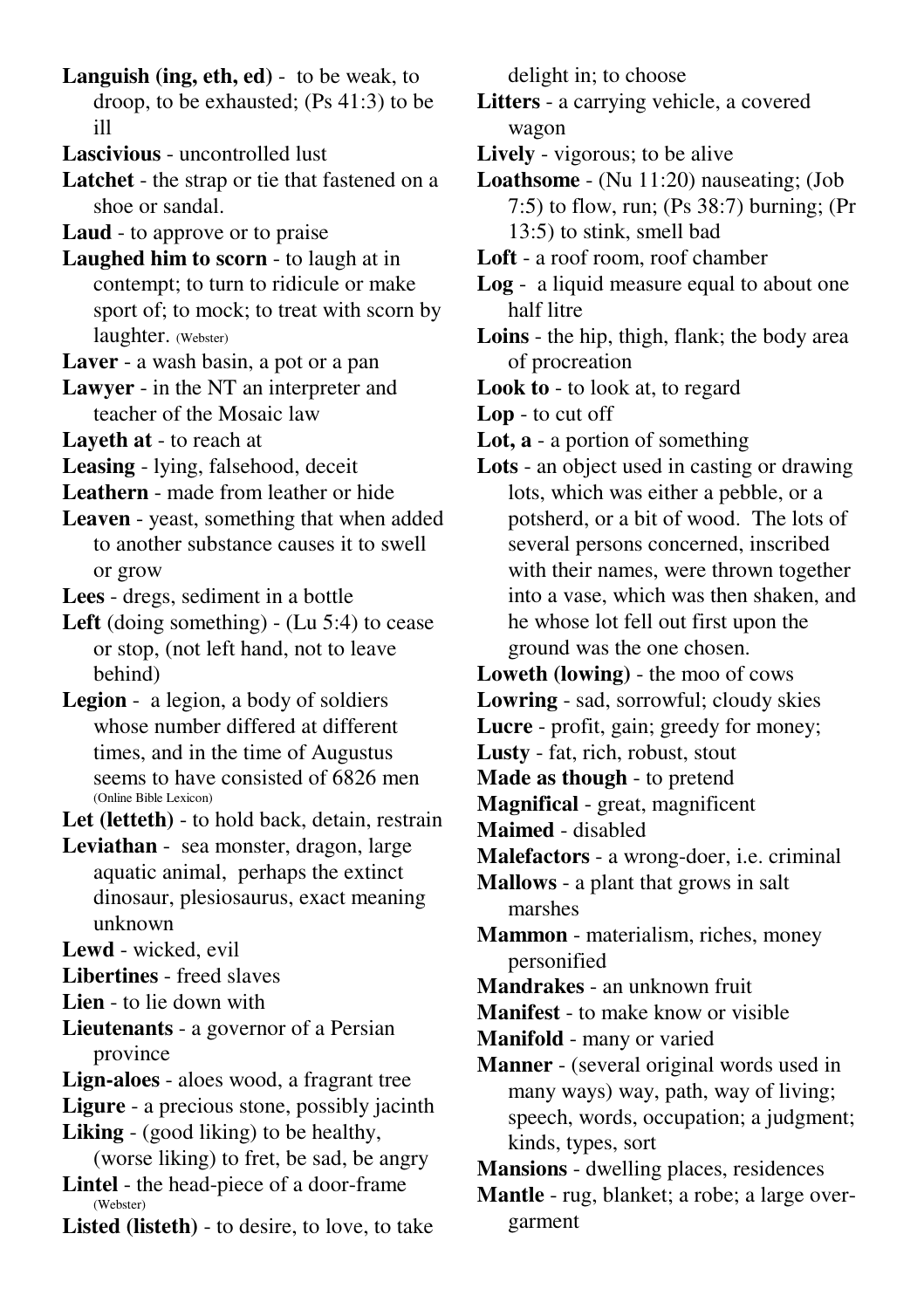**Languish (ing, eth, ed)** - to be weak, to droop, to be exhausted; (Ps 41:3) to be ill

**Lascivious** - uncontrolled lust

**Latchet** - the strap or tie that fastened on a shoe or sandal.

**Laud** - to approve or to praise

**Laughed him to scorn** - to laugh at in contempt; to turn to ridicule or make sport of; to mock; to treat with scorn by laughter. (Webster)

**Laver** - a wash basin, a pot or a pan

**Lawyer** - in the NT an interpreter and teacher of the Mosaic law

**Layeth at** - to reach at

**Leasing** - lying, falsehood, deceit

**Leathern** - made from leather or hide

- **Leaven** yeast, something that when added to another substance causes it to swell or grow
- **Lees**  dregs, sediment in a bottle

**Left** (doing something) - (Lu 5:4) to cease or stop, (not left hand, not to leave behind)

**Legion** - a legion, a body of soldiers whose number differed at different times, and in the time of Augustus seems to have consisted of 6826 men (Online Bible Lexicon)

**Let (letteth)** - to hold back, detain, restrain

**Leviathan** - sea monster, dragon, large aquatic animal, perhaps the extinct dinosaur, plesiosaurus, exact meaning unknown

**Lewd** - wicked, evil

**Libertines** - freed slaves

**Lien** - to lie down with

**Lieutenants** - a governor of a Persian province

**Lign-aloes** - aloes wood, a fragrant tree

**Ligure** - a precious stone, possibly jacinth

Liking - (good liking) to be healthy,

(worse liking) to fret, be sad, be angry **Lintel** - the head-piece of a door-frame (Webster)

**Listed (listeth)** - to desire, to love, to take

delight in; to choose

- **Litters**  a carrying vehicle, a covered wagon
- **Lively** vigorous; to be alive

**Loathsome** - (Nu 11:20) nauseating; (Job 7:5) to flow, run; (Ps 38:7) burning; (Pr 13:5) to stink, smell bad

**Loft** - a roof room, roof chamber

- **Log**  a liquid measure equal to about one half litre
- **Loins** the hip, thigh, flank; the body area of procreation
- **Look to** to look at, to regard
- **Lop**  to cut off
- **Lot, a** a portion of something
- **Lots**  an object used in casting or drawing lots, which was either a pebble, or a potsherd, or a bit of wood. The lots of several persons concerned, inscribed with their names, were thrown together into a vase, which was then shaken, and he whose lot fell out first upon the ground was the one chosen.

**Loweth (lowing)** - the moo of cows

**Lowring** - sad, sorrowful; cloudy skies

- **Lucre** profit, gain; greedy for money;
- **Lusty**  fat, rich, robust, stout
- **Made as though** to pretend

**Magnifical** - great, magnificent

**Maimed** - disabled

**Malefactors** - a wrong-doer, i.e. criminal

**Mallows** - a plant that grows in salt marshes

- **Mammon**  materialism, riches, money personified
- **Mandrakes**  an unknown fruit
- **Manifest**  to make know or visible
- **Manifold**  many or varied
- **Manner** (several original words used in many ways) way, path, way of living; speech, words, occupation; a judgment; kinds, types, sort

**Mansions** - dwelling places, residences

**Mantle** - rug, blanket; a robe; a large overgarment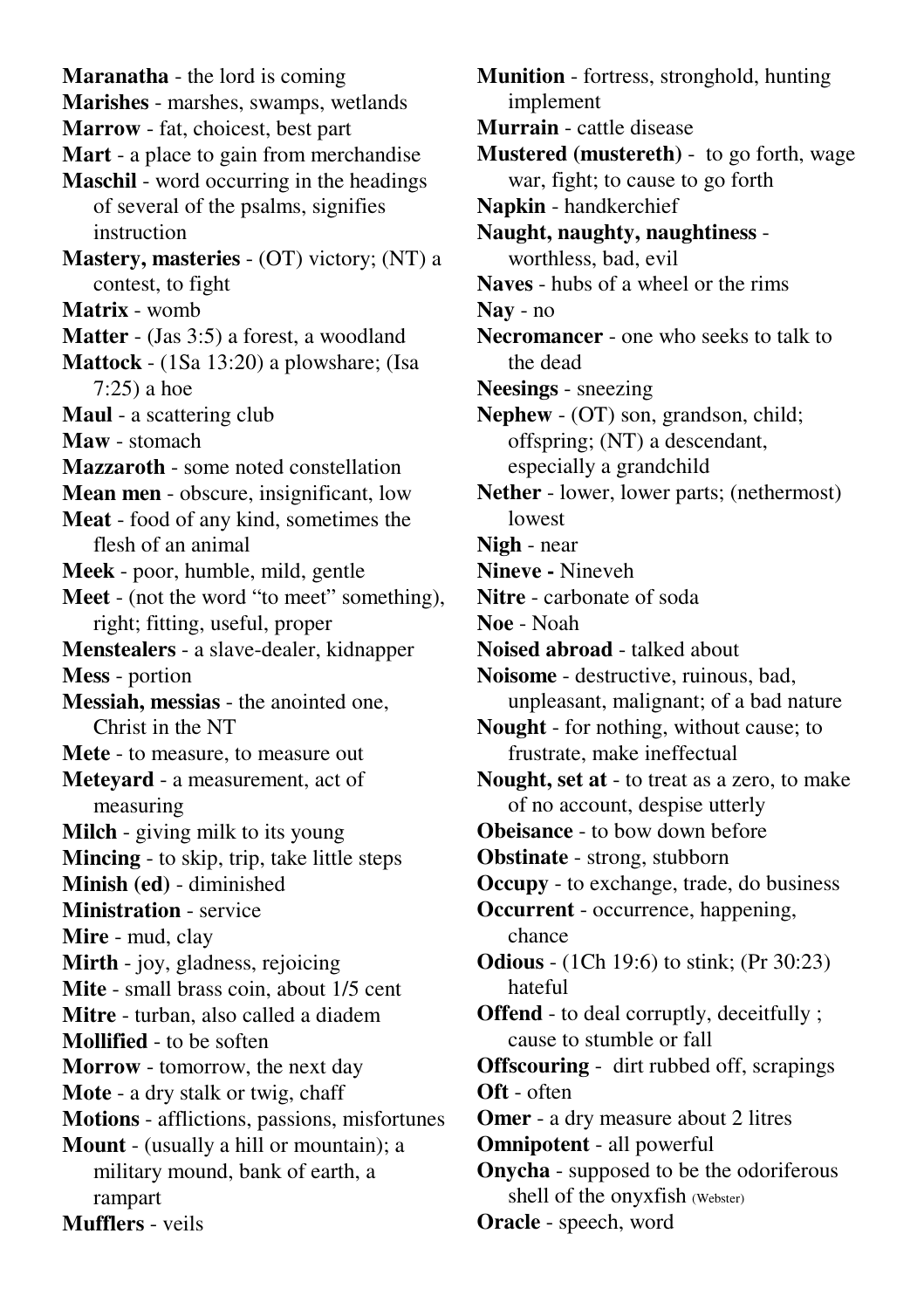**Maranatha** - the lord is coming **Marishes** - marshes, swamps, wetlands **Marrow** - fat, choicest, best part **Mart** - a place to gain from merchandise **Maschil** - word occurring in the headings of several of the psalms, signifies instruction **Mastery, masteries** - (OT) victory; (NT) a contest, to fight **Matrix** - womb **Matter** - (Jas 3:5) a forest, a woodland **Mattock** - (1Sa 13:20) a plowshare; (Isa 7:25) a hoe **Maul** - a scattering club **Maw** - stomach **Mazzaroth** - some noted constellation **Mean men** - obscure, insignificant, low **Meat** - food of any kind, sometimes the flesh of an animal **Meek** - poor, humble, mild, gentle **Meet** - (not the word "to meet" something), right; fitting, useful, proper **Menstealers** - a slave-dealer, kidnapper **Mess** - portion **Messiah, messias** - the anointed one, Christ in the NT **Mete** - to measure, to measure out **Meteyard** - a measurement, act of measuring **Milch** - giving milk to its young **Mincing** - to skip, trip, take little steps **Minish (ed)** - diminished **Ministration** - service **Mire** - mud, clay **Mirth** - joy, gladness, rejoicing **Mite** - small brass coin, about 1/5 cent **Mitre** - turban, also called a diadem **Mollified** - to be soften **Morrow** - tomorrow, the next day **Mote** - a dry stalk or twig, chaff **Motions** - afflictions, passions, misfortunes **Mount** - (usually a hill or mountain); a military mound, bank of earth, a rampart **Mufflers** - veils

**Munition** - fortress, stronghold, hunting implement **Murrain** - cattle disease **Mustered (mustereth)** - to go forth, wage war, fight; to cause to go forth **Napkin** - handkerchief **Naught, naughty, naughtiness** worthless, bad, evil **Naves** - hubs of a wheel or the rims **Nay** - no **Necromancer** - one who seeks to talk to the dead **Neesings** - sneezing **Nephew** - (OT) son, grandson, child; offspring; (NT) a descendant, especially a grandchild **Nether** - lower, lower parts; (nethermost) lowest **Nigh** - near **Nineve -** Nineveh **Nitre** - carbonate of soda **Noe** - Noah **Noised abroad** - talked about **Noisome** - destructive, ruinous, bad, unpleasant, malignant; of a bad nature **Nought** - for nothing, without cause; to frustrate, make ineffectual **Nought, set at** - to treat as a zero, to make of no account, despise utterly **Obeisance** - to bow down before **Obstinate** - strong, stubborn **Occupy** - to exchange, trade, do business **Occurrent** - occurrence, happening, chance **Odious** - (1Ch 19:6) to stink; (Pr 30:23) hateful **Offend** - to deal corruptly, deceitfully ; cause to stumble or fall **Offscouring** - dirt rubbed off, scrapings **Oft** - often **Omer** - a dry measure about 2 litres **Omnipotent** - all powerful **Onycha** - supposed to be the odoriferous shell of the onyxfish (Webster) **Oracle** - speech, word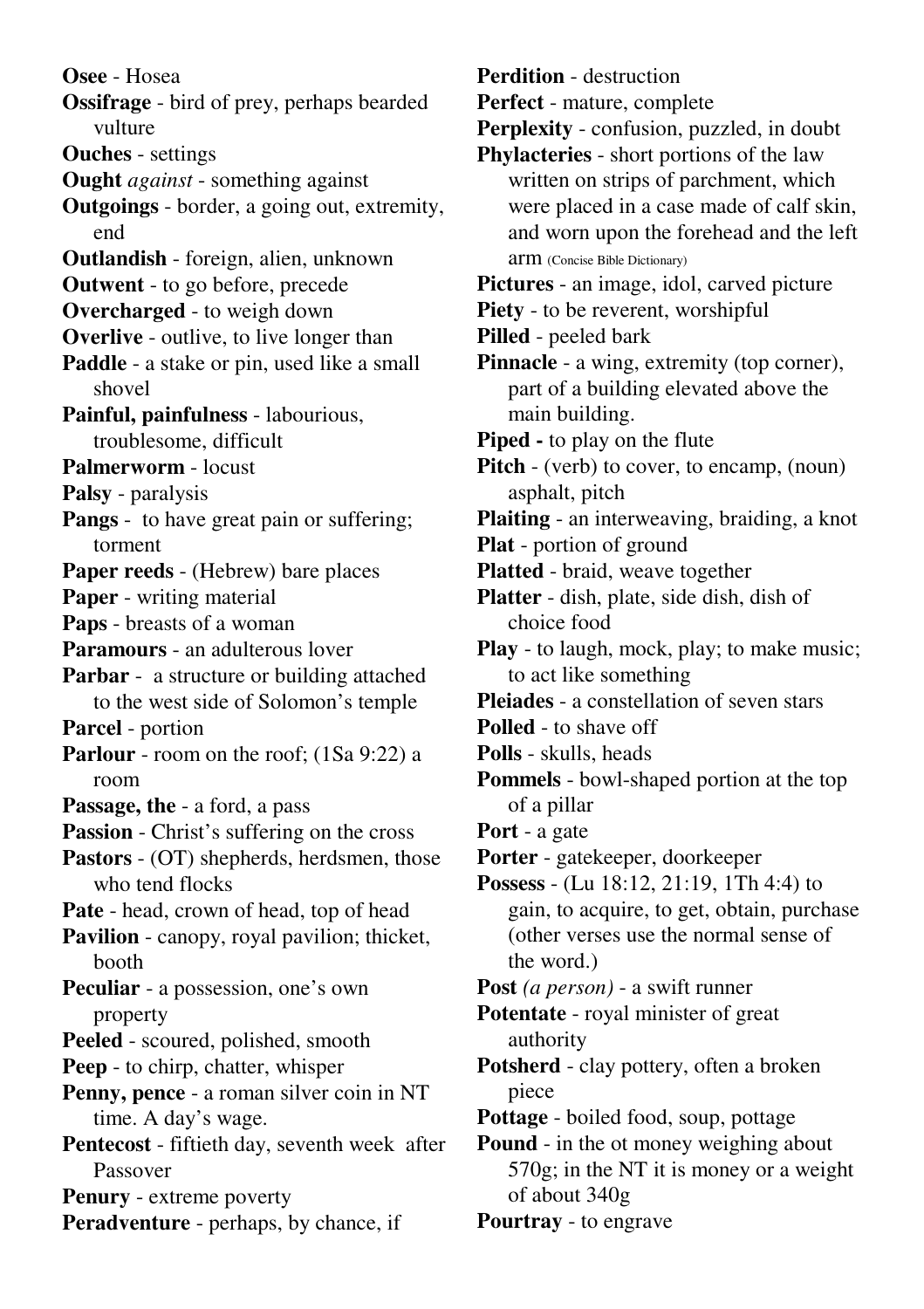**Osee** - Hosea **Ossifrage** - bird of prey, perhaps bearded vulture **Ouches** - settings **Ought** *against* - something against **Outgoings** - border, a going out, extremity, end **Outlandish** - foreign, alien, unknown **Outwent** - to go before, precede **Overcharged** - to weigh down **Overlive** - outlive, to live longer than **Paddle** - a stake or pin, used like a small shovel **Painful, painfulness** - labourious, troublesome, difficult **Palmerworm** - locust **Palsy** - paralysis **Pangs** - to have great pain or suffering; torment **Paper reeds** - (Hebrew) bare places **Paper** - writing material **Paps** - breasts of a woman **Paramours** - an adulterous lover **Parbar** - a structure or building attached to the west side of Solomon's temple **Parcel** - portion **Parlour** - room on the roof; (1Sa 9:22) a room **Passage, the** - a ford, a pass **Passion** - Christ's suffering on the cross **Pastors** - (OT) shepherds, herdsmen, those who tend flocks **Pate** - head, crown of head, top of head **Pavilion** - canopy, royal pavilion; thicket, booth **Peculiar** - a possession, one's own property **Peeled** - scoured, polished, smooth **Peep** - to chirp, chatter, whisper **Penny, pence** - a roman silver coin in NT time. A day's wage. **Pentecost** - fiftieth day, seventh week after Passover **Penury** - extreme poverty **Peradventure** - perhaps, by chance, if

**Perdition** - destruction **Perfect** - mature, complete **Perplexity** - confusion, puzzled, in doubt **Phylacteries** - short portions of the law written on strips of parchment, which were placed in a case made of calf skin, and worn upon the forehead and the left arm (Concise Bible Dictionary) **Pictures** - an image, idol, carved picture **Piety** - to be reverent, worshipful **Pilled** - peeled bark **Pinnacle** - a wing, extremity (top corner), part of a building elevated above the main building. **Piped -** to play on the flute **Pitch** - (verb) to cover, to encamp, (noun) asphalt, pitch **Plaiting** - an interweaving, braiding, a knot **Plat** - portion of ground **Platted** - braid, weave together **Platter** - dish, plate, side dish, dish of choice food **Play** - to laugh, mock, play; to make music; to act like something **Pleiades** - a constellation of seven stars **Polled** - to shave off **Polls** - skulls, heads **Pommels** - bowl-shaped portion at the top of a pillar **Port** - a gate **Porter** - gatekeeper, doorkeeper **Possess** - (Lu 18:12, 21:19, 1Th 4:4) to gain, to acquire, to get, obtain, purchase (other verses use the normal sense of the word.) **Post** *(a person)* - a swift runner **Potentate** - royal minister of great authority **Potsherd** - clay pottery, often a broken piece **Pottage** - boiled food, soup, pottage **Pound** - in the ot money weighing about 570g; in the NT it is money or a weight of about 340g

**Pourtray** - to engrave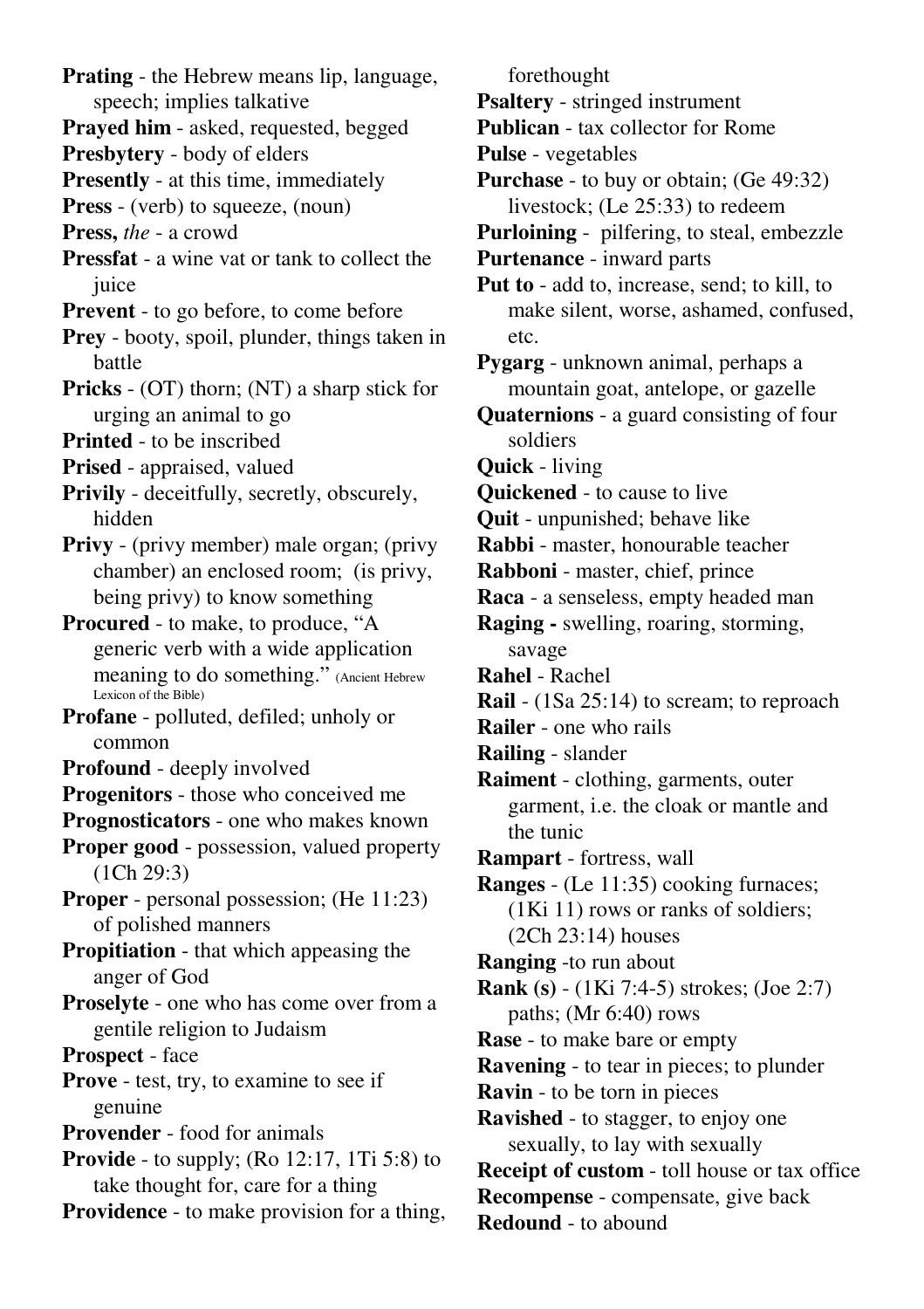**Prating** - the Hebrew means lip, language, speech; implies talkative **Prayed him** - asked, requested, begged **Presbytery** - body of elders **Presently** - at this time, immediately **Press** - (verb) to squeeze, (noun) **Press,** *the* - a crowd **Pressfat** - a wine vat or tank to collect the juice **Prevent** - to go before, to come before **Prey** - booty, spoil, plunder, things taken in battle **Pricks** - (OT) thorn; (NT) a sharp stick for urging an animal to go **Printed** - to be inscribed **Prised** - appraised, valued **Privily** - deceitfully, secretly, obscurely, hidden **Privy** - (privy member) male organ; (privy chamber) an enclosed room; (is privy, being privy) to know something **Procured** - to make, to produce, "A generic verb with a wide application meaning to do something." (Ancient Hebrew Lexicon of the Bible) **Profane** - polluted, defiled; unholy or common **Profound** - deeply involved **Progenitors** - those who conceived me **Prognosticators** - one who makes known **Proper good** - possession, valued property (1Ch 29:3) **Proper** - personal possession; (He 11:23) of polished manners **Propitiation** - that which appeasing the anger of God **Proselyte** - one who has come over from a gentile religion to Judaism **Prospect** - face **Prove** - test, try, to examine to see if genuine **Provender** - food for animals **Provide** - to supply; (Ro 12:17, 1Ti 5:8) to take thought for, care for a thing **Providence** - to make provision for a thing,

**Pulse** - vegetables **Purchase** - to buy or obtain; (Ge 49:32) livestock; (Le 25:33) to redeem **Purloining** - pilfering, to steal, embezzle **Purtenance** - inward parts **Put to** - add to, increase, send; to kill, to make silent, worse, ashamed, confused, etc. **Pygarg** - unknown animal, perhaps a mountain goat, antelope, or gazelle **Quaternions** - a guard consisting of four soldiers **Quick** - living **Quickened** - to cause to live **Quit** - unpunished; behave like **Rabbi** - master, honourable teacher **Rabboni** - master, chief, prince **Raca** - a senseless, empty headed man **Raging -** swelling, roaring, storming, savage **Rahel** - Rachel **Rail** - (1Sa 25:14) to scream; to reproach **Railer** - one who rails **Railing** - slander **Raiment** - clothing, garments, outer garment, i.e. the cloak or mantle and the tunic **Rampart** - fortress, wall **Ranges** - (Le 11:35) cooking furnaces; (1Ki 11) rows or ranks of soldiers; (2Ch 23:14) houses **Ranging** -to run about **Rank (s)** - (1Ki 7:4-5) strokes; (Joe 2:7) paths; (Mr 6:40) rows **Rase** - to make bare or empty **Ravening** - to tear in pieces; to plunder **Ravin** - to be torn in pieces **Ravished** - to stagger, to enjoy one sexually, to lay with sexually **Receipt of custom** - toll house or tax office **Recompense** - compensate, give back **Redound** - to abound

forethought

**Psaltery** - stringed instrument **Publican** - tax collector for Rome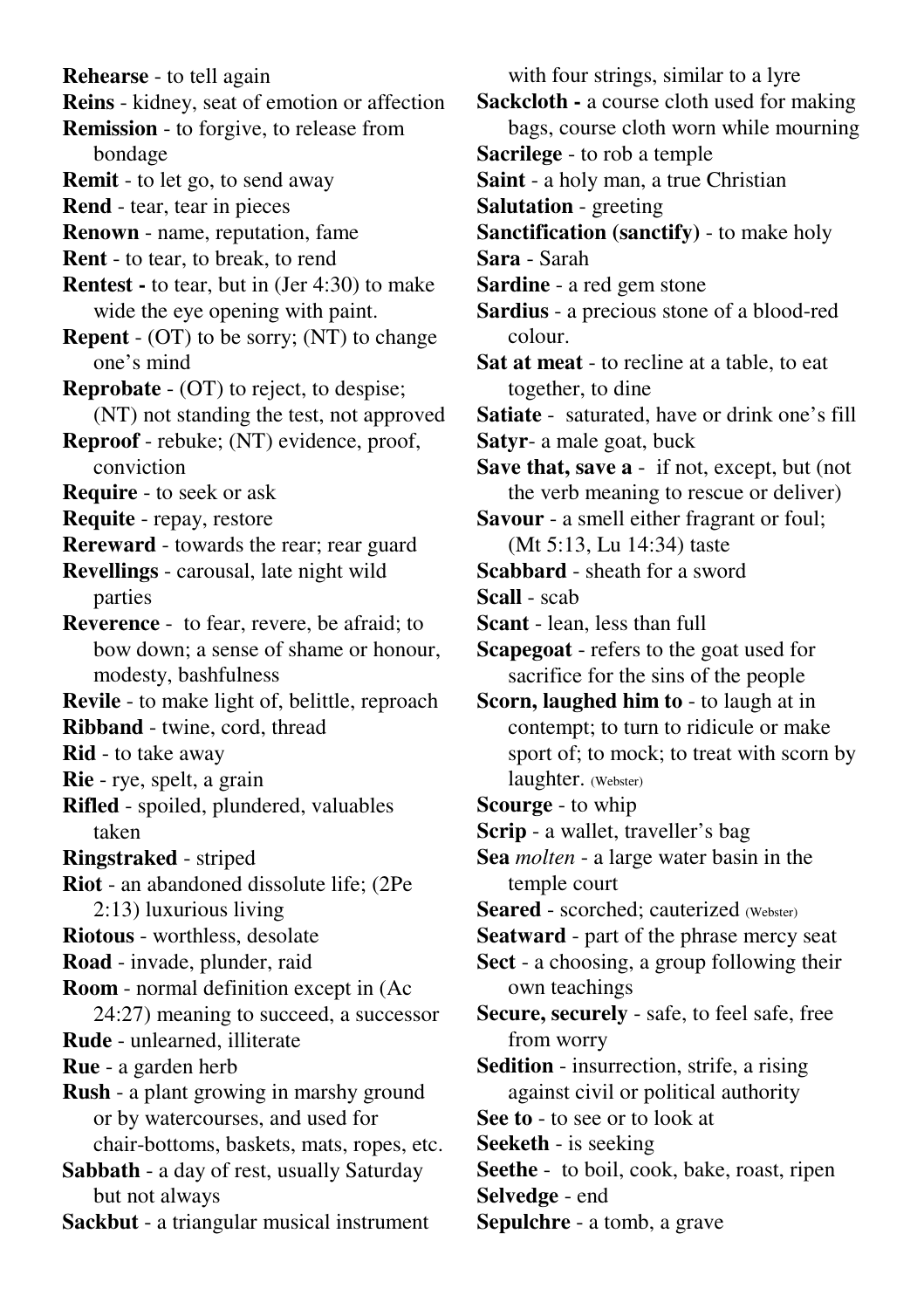**Rehearse** - to tell again

**Reins** - kidney, seat of emotion or affection

**Remission** - to forgive, to release from bondage

**Remit** - to let go, to send away

**Rend** - tear, tear in pieces

**Renown** - name, reputation, fame

**Rent** - to tear, to break, to rend

**Rentest -** to tear, but in (Jer 4:30) to make wide the eye opening with paint.

**Repent** - (OT) to be sorry; (NT) to change one's mind

**Reprobate** - (OT) to reject, to despise; (NT) not standing the test, not approved

**Reproof** - rebuke; (NT) evidence, proof, conviction

**Require** - to seek or ask

**Requite** - repay, restore

**Rereward** - towards the rear; rear guard

**Revellings** - carousal, late night wild parties

**Reverence** - to fear, revere, be afraid; to bow down; a sense of shame or honour, modesty, bashfulness

**Revile** - to make light of, belittle, reproach **Ribband** - twine, cord, thread

**Rid** - to take away

**Rie** - rye, spelt, a grain

**Rifled** - spoiled, plundered, valuables taken

**Ringstraked** - striped

**Riot** - an abandoned dissolute life; (2Pe 2:13) luxurious living

**Riotous** - worthless, desolate

**Road** - invade, plunder, raid

**Room** - normal definition except in (Ac 24:27) meaning to succeed, a successor

**Rude** - unlearned, illiterate

**Rue** - a garden herb

**Rush** - a plant growing in marshy ground or by watercourses, and used for chair-bottoms, baskets, mats, ropes, etc.

**Sabbath** - a day of rest, usually Saturday but not always

**Sackbut** - a triangular musical instrument

**Sackcloth -** a course cloth used for making bags, course cloth worn while mourning **Sacrilege** - to rob a temple **Saint** - a holy man, a true Christian **Salutation** - greeting **Sanctification (sanctify)** - to make holy **Sara** - Sarah **Sardine** - a red gem stone **Sardius** - a precious stone of a blood-red colour. **Sat at meat** - to recline at a table, to eat together, to dine **Satiate** - saturated, have or drink one's fill **Satyr**- a male goat, buck **Save that, save a** - if not, except, but (not the verb meaning to rescue or deliver) **Savour** - a smell either fragrant or foul; (Mt 5:13, Lu 14:34) taste **Scabbard** - sheath for a sword **Scall** - scab **Scant** - lean, less than full **Scapegoat** - refers to the goat used for sacrifice for the sins of the people **Scorn, laughed him to** - to laugh at in contempt; to turn to ridicule or make sport of; to mock; to treat with scorn by laughter. (Webster) **Scourge** - to whip **Scrip** - a wallet, traveller's bag **Sea** *molten* - a large water basin in the temple court Seared - scorched; cauterized (Webster) **Seatward** - part of the phrase mercy seat **Sect** - a choosing, a group following their own teachings **Secure, securely** - safe, to feel safe, free from worry **Sedition** - insurrection, strife, a rising against civil or political authority **See to** - to see or to look at **Seeketh** - is seeking **Seethe** - to boil, cook, bake, roast, ripen

with four strings, similar to a lyre

**Selvedge** - end

**Sepulchre** - a tomb, a grave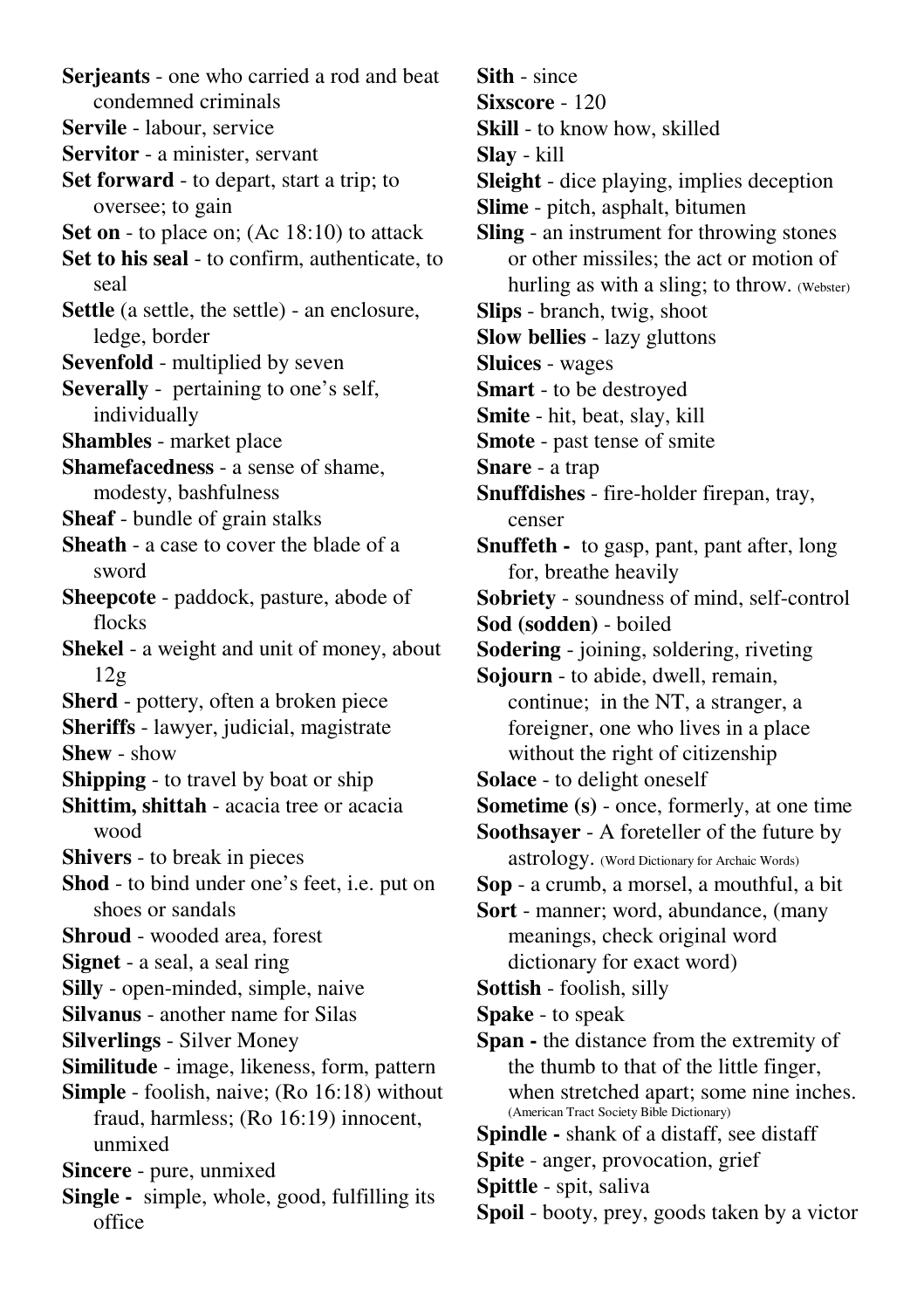**Serjeants** - one who carried a rod and beat condemned criminals **Servile** - labour, service **Servitor** - a minister, servant **Set forward** - to depart, start a trip; to oversee; to gain **Set on** - to place on; (Ac 18:10) to attack **Set to his seal** - to confirm, authenticate, to seal **Settle** (a settle, the settle) - an enclosure, ledge, border **Sevenfold** - multiplied by seven **Severally** - pertaining to one's self, individually **Shambles** - market place **Shamefacedness** - a sense of shame, modesty, bashfulness **Sheaf** - bundle of grain stalks **Sheath** - a case to cover the blade of a sword **Sheepcote** - paddock, pasture, abode of flocks **Shekel** - a weight and unit of money, about 12g **Sherd** - pottery, often a broken piece **Sheriffs** - lawyer, judicial, magistrate **Shew** - show **Shipping** - to travel by boat or ship **Shittim, shittah** - acacia tree or acacia wood **Shivers** - to break in pieces **Shod** - to bind under one's feet, i.e. put on shoes or sandals **Shroud** - wooded area, forest **Signet** - a seal, a seal ring **Silly** - open-minded, simple, naive **Silvanus** - another name for Silas **Silverlings** - Silver Money **Similitude** - image, likeness, form, pattern **Simple** - foolish, naive; (Ro 16:18) without fraud, harmless; (Ro 16:19) innocent, unmixed **Sincere** - pure, unmixed **Single -** simple, whole, good, fulfilling its office

**Sith** - since **Sixscore** - 120 **Skill** - to know how, skilled **Slay** - kill **Sleight** - dice playing, implies deception **Slime** - pitch, asphalt, bitumen **Sling** - an instrument for throwing stones or other missiles; the act or motion of hurling as with a sling; to throw. (Webster) **Slips** - branch, twig, shoot **Slow bellies** - lazy gluttons **Sluices** - wages **Smart** - to be destroyed **Smite** - hit, beat, slay, kill **Smote** - past tense of smite **Snare** - a trap **Snuffdishes** - fire-holder firepan, tray, censer **Snuffeth -** to gasp, pant, pant after, long for, breathe heavily **Sobriety** - soundness of mind, self-control **Sod (sodden)** - boiled **Sodering** - joining, soldering, riveting **Sojourn** - to abide, dwell, remain, continue; in the NT, a stranger, a foreigner, one who lives in a place without the right of citizenship **Solace** - to delight oneself **Sometime (s)** - once, formerly, at one time **Soothsayer** - A foreteller of the future by astrology. (Word Dictionary for Archaic Words) **Sop** - a crumb, a morsel, a mouthful, a bit **Sort** - manner; word, abundance, (many meanings, check original word dictionary for exact word) **Sottish** - foolish, silly **Spake** - to speak **Span -** the distance from the extremity of the thumb to that of the little finger, when stretched apart; some nine inches. (American Tract Society Bible Dictionary) **Spindle -** shank of a distaff, see distaff **Spite** - anger, provocation, grief **Spittle** - spit, saliva **Spoil** - booty, prey, goods taken by a victor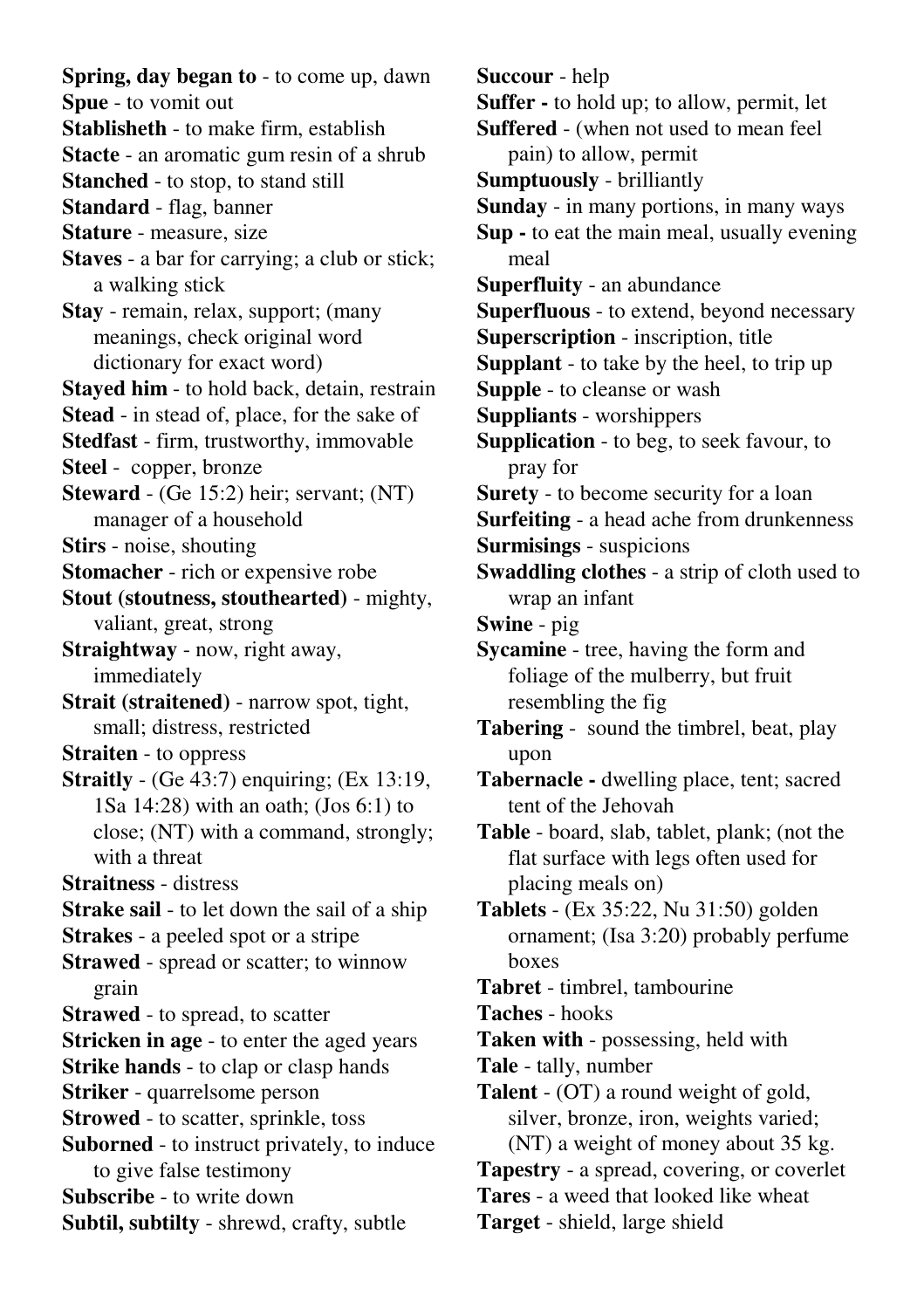**Spring, day began to** - to come up, dawn **Spue** - to vomit out **Stablisheth** - to make firm, establish **Stacte** - an aromatic gum resin of a shrub **Stanched** - to stop, to stand still **Standard** - flag, banner **Stature** - measure, size **Staves** - a bar for carrying; a club or stick; a walking stick **Stay** - remain, relax, support; (many meanings, check original word dictionary for exact word) **Stayed him** - to hold back, detain, restrain **Stead** - in stead of, place, for the sake of **Stedfast** - firm, trustworthy, immovable **Steel** - copper, bronze **Steward** - (Ge 15:2) heir; servant; (NT) manager of a household **Stirs** - noise, shouting **Stomacher** - rich or expensive robe **Stout (stoutness, stouthearted)** - mighty, valiant, great, strong **Straightway** - now, right away, immediately **Strait (straitened)** - narrow spot, tight, small; distress, restricted **Straiten** - to oppress **Straitly** - (Ge 43:7) enquiring; (Ex 13:19, 1Sa 14:28) with an oath; (Jos 6:1) to close; (NT) with a command, strongly; with a threat **Straitness** - distress **Strake sail** - to let down the sail of a ship **Strakes** - a peeled spot or a stripe **Strawed** - spread or scatter; to winnow grain **Strawed** - to spread, to scatter **Stricken in age** - to enter the aged years **Strike hands** - to clap or clasp hands **Striker** - quarrelsome person **Strowed** - to scatter, sprinkle, toss **Suborned** - to instruct privately, to induce to give false testimony **Subscribe** - to write down **Subtil, subtilty** - shrewd, crafty, subtle

**Succour** - help **Suffer -** to hold up; to allow, permit, let **Suffered** - (when not used to mean feel pain) to allow, permit **Sumptuously** - brilliantly **Sunday** - in many portions, in many ways **Sup -** to eat the main meal, usually evening meal **Superfluity** - an abundance **Superfluous** - to extend, beyond necessary **Superscription** - inscription, title **Supplant** - to take by the heel, to trip up **Supple** - to cleanse or wash **Suppliants** - worshippers **Supplication** - to beg, to seek favour, to pray for **Surety** - to become security for a loan **Surfeiting** - a head ache from drunkenness **Surmisings** - suspicions **Swaddling clothes** - a strip of cloth used to wrap an infant **Swine** - pig **Sycamine** - tree, having the form and foliage of the mulberry, but fruit resembling the fig **Tabering** - sound the timbrel, beat, play upon **Tabernacle -** dwelling place, tent; sacred tent of the Jehovah **Table** - board, slab, tablet, plank; (not the flat surface with legs often used for placing meals on) **Tablets** - (Ex 35:22, Nu 31:50) golden ornament; (Isa 3:20) probably perfume boxes **Tabret** - timbrel, tambourine **Taches** - hooks **Taken with** - possessing, held with **Tale** - tally, number **Talent** - (OT) a round weight of gold, silver, bronze, iron, weights varied; (NT) a weight of money about 35 kg. **Tapestry** - a spread, covering, or coverlet **Tares** - a weed that looked like wheat

**Target** - shield, large shield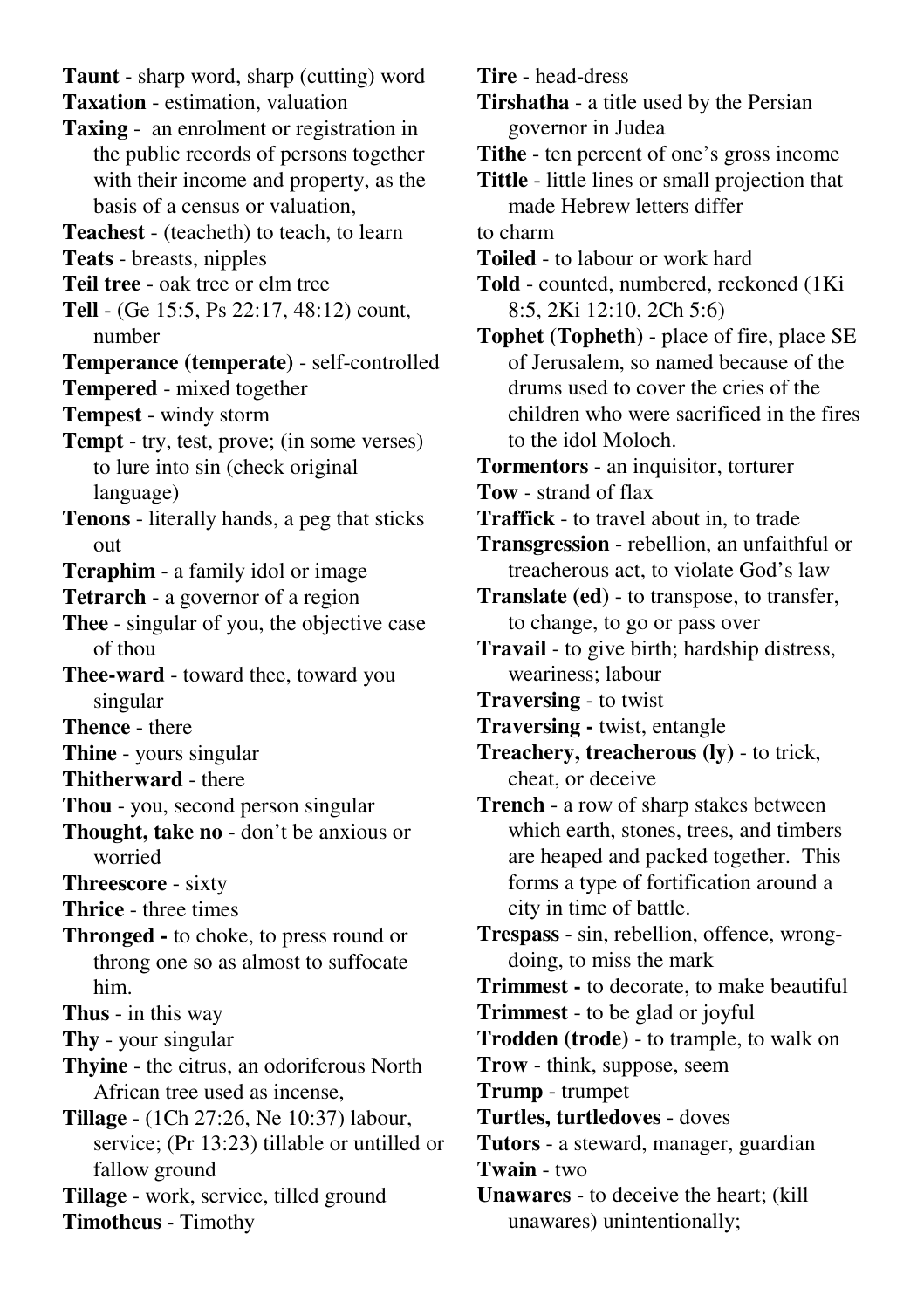**Taunt** - sharp word, sharp (cutting) word **Taxation** - estimation, valuation

- **Taxing** an enrolment or registration in the public records of persons together with their income and property, as the basis of a census or valuation,
- **Teachest**  (teacheth) to teach, to learn
- **Teats**  breasts, nipples
- **Teil tree**  oak tree or elm tree
- **Tell**  (Ge 15:5, Ps 22:17, 48:12) count, number
- **Temperance (temperate)** self-controlled
- **Tempered**  mixed together
- **Tempest**  windy storm
- **Tempt** try, test, prove; (in some verses) to lure into sin (check original language)
- **Tenons**  literally hands, a peg that sticks out
- **Teraphim**  a family idol or image
- **Tetrarch** a governor of a region
- **Thee** singular of you, the objective case of thou
- **Thee-ward** toward thee, toward you singular
- **Thence**  there
- **Thine**  yours singular
- **Thitherward**  there
- **Thou**  you, second person singular
- **Thought, take no** don't be anxious or worried
- **Threescore**  sixty
- **Thrice**  three times
- **Thronged** to choke, to press round or throng one so as almost to suffocate him.
- **Thus**  in this way
- **Thy**  your singular
- **Thyine** the citrus, an odoriferous North African tree used as incense,
- **Tillage**  (1Ch 27:26, Ne 10:37) labour, service; (Pr 13:23) tillable or untilled or fallow ground
- **Tillage**  work, service, tilled ground **Timotheus** - Timothy

**Tire** - head-dress

- **Tirshatha**  a title used by the Persian governor in Judea
- **Tithe** ten percent of one's gross income
- **Tittle** little lines or small projection that made Hebrew letters differ
- to charm
- **Toiled** to labour or work hard
- **Told** counted, numbered, reckoned (1Ki 8:5, 2Ki 12:10, 2Ch 5:6)
- **Tophet (Topheth)** place of fire, place SE of Jerusalem, so named because of the drums used to cover the cries of the children who were sacrificed in the fires to the idol Moloch.
- **Tormentors**  an inquisitor, torturer
- **Tow** strand of flax
- **Traffick**  to travel about in, to trade
- **Transgression**  rebellion, an unfaithful or treacherous act, to violate God's law
- **Translate (ed)** to transpose, to transfer, to change, to go or pass over
- **Travail** to give birth; hardship distress, weariness; labour
- **Traversing**  to twist
- **Traversing** twist, entangle
- **Treachery, treacherous (ly)**  to trick, cheat, or deceive
- **Trench** a row of sharp stakes between which earth, stones, trees, and timbers are heaped and packed together. This forms a type of fortification around a city in time of battle.
- **Trespass**  sin, rebellion, offence, wrongdoing, to miss the mark
- **Trimmest** to decorate, to make beautiful
- **Trimmest** to be glad or joyful
- **Trodden (trode)**  to trample, to walk on
- **Trow**  think, suppose, seem
- **Trump**  trumpet
- **Turtles, turtledoves** doves
- **Tutors**  a steward, manager, guardian **Twain** - two
- **Unawares** to deceive the heart; (kill unawares) unintentionally;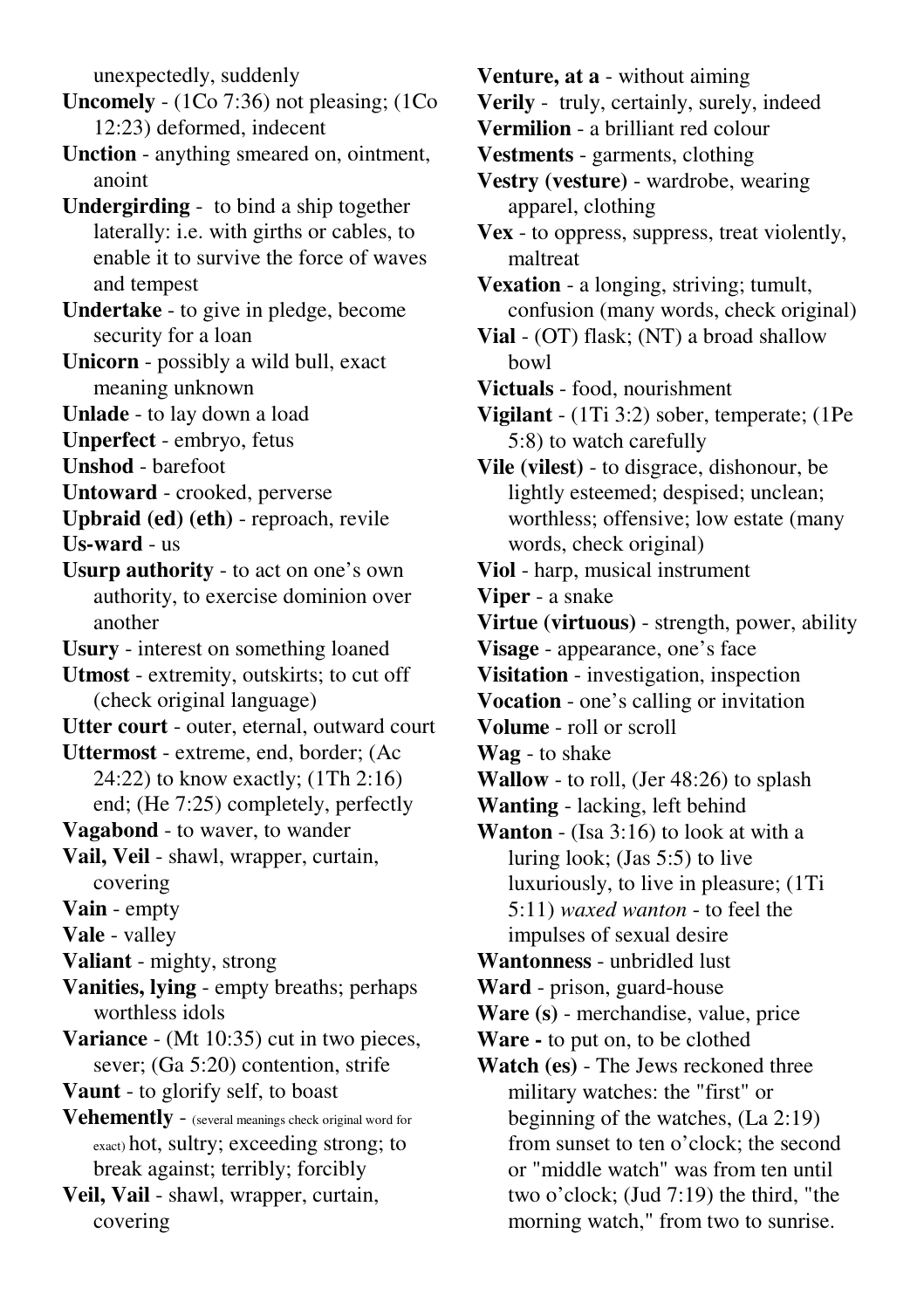unexpectedly, suddenly

**Uncomely** - (1Co 7:36) not pleasing; (1Co 12:23) deformed, indecent

**Unction** - anything smeared on, ointment, anoint

**Undergirding** - to bind a ship together laterally: i.e. with girths or cables, to enable it to survive the force of waves and tempest

**Undertake** - to give in pledge, become security for a loan

**Unicorn** - possibly a wild bull, exact meaning unknown

**Unlade** - to lay down a load

**Unperfect** - embryo, fetus

- **Unshod**  barefoot
- **Untoward**  crooked, perverse

**Upbraid (ed) (eth)** - reproach, revile

**Us-ward** - us

**Usurp authority** - to act on one's own authority, to exercise dominion over another

**Usury** - interest on something loaned

**Utmost** - extremity, outskirts; to cut off (check original language)

**Utter court** - outer, eternal, outward court

**Uttermost** - extreme, end, border; (Ac 24:22) to know exactly; (1Th 2:16) end; (He 7:25) completely, perfectly

**Vagabond** - to waver, to wander

**Vail, Veil** - shawl, wrapper, curtain, covering

**Vain** - empty

**Vale** - valley

**Valiant** - mighty, strong

**Vanities, lying** - empty breaths; perhaps worthless idols

**Variance** - (Mt 10:35) cut in two pieces, sever; (Ga 5:20) contention, strife

**Vaunt** - to glorify self, to boast

- **Vehemently**  (several meanings check original word for exact) hot, sultry; exceeding strong; to break against; terribly; forcibly
- **Veil, Vail** shawl, wrapper, curtain, covering

**Venture, at a** - without aiming

**Verily** - truly, certainly, surely, indeed

**Vermilion** - a brilliant red colour

**Vestments** - garments, clothing

**Vestry (vesture)** - wardrobe, wearing apparel, clothing

**Vexation** - a longing, striving; tumult, confusion (many words, check original)

**Vial** - (OT) flask; (NT) a broad shallow bowl

- **Victuals** food, nourishment
- **Vigilant**  (1Ti 3:2) sober, temperate; (1Pe 5:8) to watch carefully

**Vile (vilest)** - to disgrace, dishonour, be lightly esteemed; despised; unclean; worthless; offensive; low estate (many words, check original)

**Viol** - harp, musical instrument

**Viper** - a snake

**Virtue (virtuous)** - strength, power, ability

**Visage** - appearance, one's face

**Visitation** - investigation, inspection

**Vocation** - one's calling or invitation

**Volume** - roll or scroll

**Wag** - to shake

- **Wallow**  to roll, (Jer 48:26) to splash
- **Wanting** lacking, left behind

**Wanton** - (Isa 3:16) to look at with a luring look; (Jas 5:5) to live luxuriously, to live in pleasure; (1Ti 5:11) *waxed wanton* - to feel the impulses of sexual desire

**Wantonness** - unbridled lust

**Ward** - prison, guard-house

**Ware (s)** - merchandise, value, price

- **Ware** to put on, to be clothed
- **Watch (es)** The Jews reckoned three military watches: the "first" or beginning of the watches, (La 2:19) from sunset to ten o'clock; the second or "middle watch" was from ten until two o'clock; (Jud 7:19) the third, "the morning watch," from two to sunrise.

**Vex** - to oppress, suppress, treat violently, maltreat